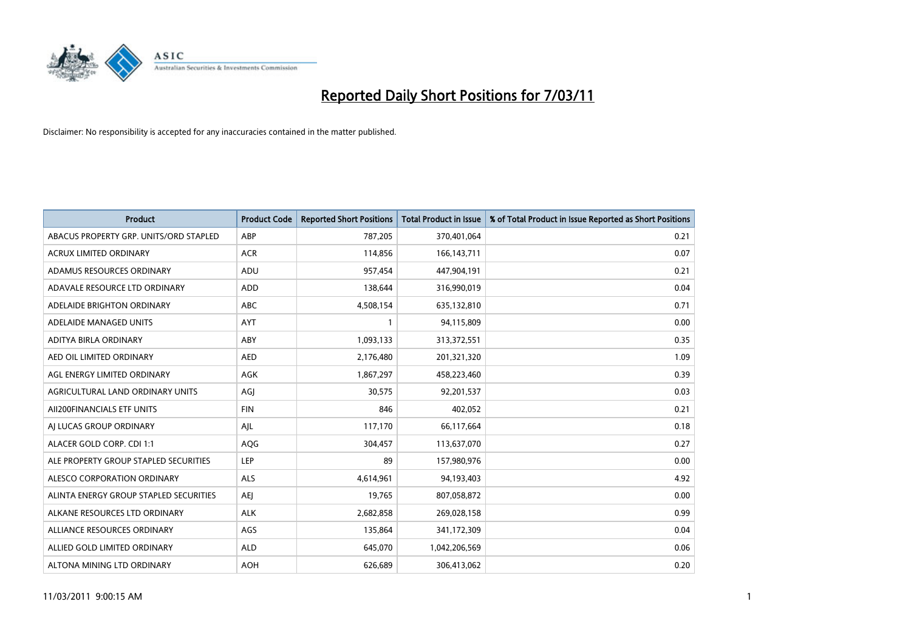

| <b>Product</b>                         | <b>Product Code</b> | <b>Reported Short Positions</b> | Total Product in Issue | % of Total Product in Issue Reported as Short Positions |
|----------------------------------------|---------------------|---------------------------------|------------------------|---------------------------------------------------------|
| ABACUS PROPERTY GRP. UNITS/ORD STAPLED | ABP                 | 787,205                         | 370,401,064            | 0.21                                                    |
| <b>ACRUX LIMITED ORDINARY</b>          | <b>ACR</b>          | 114,856                         | 166, 143, 711          | 0.07                                                    |
| ADAMUS RESOURCES ORDINARY              | ADU                 | 957,454                         | 447,904,191            | 0.21                                                    |
| ADAVALE RESOURCE LTD ORDINARY          | <b>ADD</b>          | 138,644                         | 316,990,019            | 0.04                                                    |
| ADELAIDE BRIGHTON ORDINARY             | <b>ABC</b>          | 4,508,154                       | 635,132,810            | 0.71                                                    |
| ADELAIDE MANAGED UNITS                 | AYT                 |                                 | 94,115,809             | 0.00                                                    |
| ADITYA BIRLA ORDINARY                  | ABY                 | 1,093,133                       | 313,372,551            | 0.35                                                    |
| AED OIL LIMITED ORDINARY               | <b>AED</b>          | 2,176,480                       | 201,321,320            | 1.09                                                    |
| AGL ENERGY LIMITED ORDINARY            | <b>AGK</b>          | 1,867,297                       | 458,223,460            | 0.39                                                    |
| AGRICULTURAL LAND ORDINARY UNITS       | AGI                 | 30.575                          | 92,201,537             | 0.03                                                    |
| AII200FINANCIALS ETF UNITS             | <b>FIN</b>          | 846                             | 402,052                | 0.21                                                    |
| AI LUCAS GROUP ORDINARY                | AJL                 | 117,170                         | 66,117,664             | 0.18                                                    |
| ALACER GOLD CORP. CDI 1:1              | AQG                 | 304,457                         | 113,637,070            | 0.27                                                    |
| ALE PROPERTY GROUP STAPLED SECURITIES  | LEP                 | 89                              | 157,980,976            | 0.00                                                    |
| ALESCO CORPORATION ORDINARY            | <b>ALS</b>          | 4,614,961                       | 94,193,403             | 4.92                                                    |
| ALINTA ENERGY GROUP STAPLED SECURITIES | <b>AEI</b>          | 19,765                          | 807,058,872            | 0.00                                                    |
| ALKANE RESOURCES LTD ORDINARY          | <b>ALK</b>          | 2,682,858                       | 269,028,158            | 0.99                                                    |
| ALLIANCE RESOURCES ORDINARY            | AGS                 | 135,864                         | 341,172,309            | 0.04                                                    |
| ALLIED GOLD LIMITED ORDINARY           | <b>ALD</b>          | 645,070                         | 1,042,206,569          | 0.06                                                    |
| ALTONA MINING LTD ORDINARY             | <b>AOH</b>          | 626,689                         | 306,413,062            | 0.20                                                    |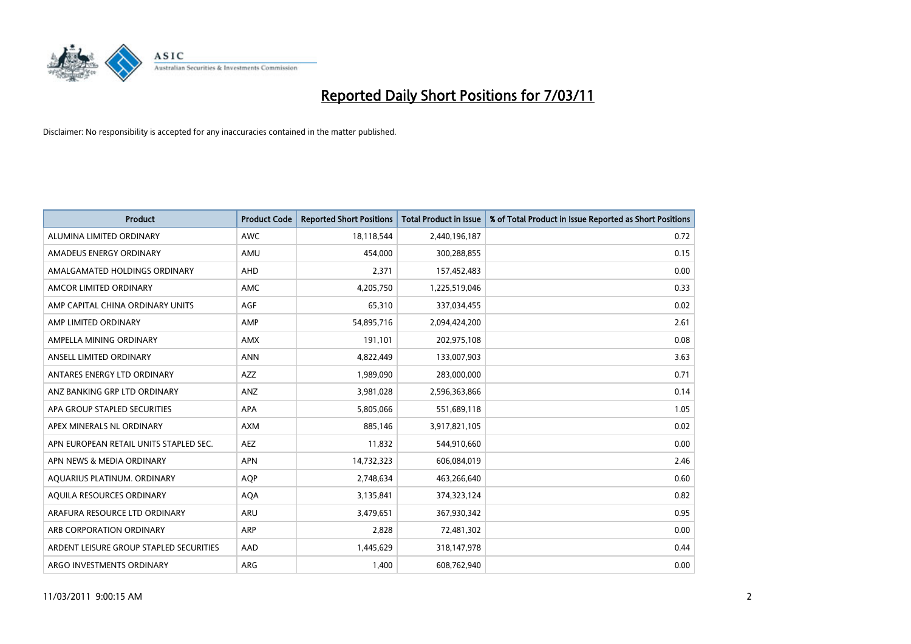

| <b>Product</b>                          | <b>Product Code</b> | <b>Reported Short Positions</b> | Total Product in Issue | % of Total Product in Issue Reported as Short Positions |
|-----------------------------------------|---------------------|---------------------------------|------------------------|---------------------------------------------------------|
| ALUMINA LIMITED ORDINARY                | <b>AWC</b>          | 18,118,544                      | 2,440,196,187          | 0.72                                                    |
| AMADEUS ENERGY ORDINARY                 | AMU                 | 454,000                         | 300,288,855            | 0.15                                                    |
| AMALGAMATED HOLDINGS ORDINARY           | <b>AHD</b>          | 2,371                           | 157,452,483            | 0.00                                                    |
| AMCOR LIMITED ORDINARY                  | <b>AMC</b>          | 4,205,750                       | 1,225,519,046          | 0.33                                                    |
| AMP CAPITAL CHINA ORDINARY UNITS        | AGF                 | 65,310                          | 337,034,455            | 0.02                                                    |
| AMP LIMITED ORDINARY                    | AMP                 | 54,895,716                      | 2,094,424,200          | 2.61                                                    |
| AMPELLA MINING ORDINARY                 | <b>AMX</b>          | 191,101                         | 202,975,108            | 0.08                                                    |
| ANSELL LIMITED ORDINARY                 | <b>ANN</b>          | 4,822,449                       | 133,007,903            | 3.63                                                    |
| ANTARES ENERGY LTD ORDINARY             | <b>AZZ</b>          | 1,989,090                       | 283,000,000            | 0.71                                                    |
| ANZ BANKING GRP LTD ORDINARY            | ANZ                 | 3,981,028                       | 2,596,363,866          | 0.14                                                    |
| APA GROUP STAPLED SECURITIES            | <b>APA</b>          | 5,805,066                       | 551,689,118            | 1.05                                                    |
| APEX MINERALS NL ORDINARY               | <b>AXM</b>          | 885,146                         | 3,917,821,105          | 0.02                                                    |
| APN EUROPEAN RETAIL UNITS STAPLED SEC.  | <b>AEZ</b>          | 11,832                          | 544,910,660            | 0.00                                                    |
| APN NEWS & MEDIA ORDINARY               | <b>APN</b>          | 14,732,323                      | 606,084,019            | 2.46                                                    |
| AQUARIUS PLATINUM. ORDINARY             | <b>AQP</b>          | 2,748,634                       | 463,266,640            | 0.60                                                    |
| AQUILA RESOURCES ORDINARY               | <b>AQA</b>          | 3,135,841                       | 374,323,124            | 0.82                                                    |
| ARAFURA RESOURCE LTD ORDINARY           | <b>ARU</b>          | 3,479,651                       | 367,930,342            | 0.95                                                    |
| ARB CORPORATION ORDINARY                | <b>ARP</b>          | 2,828                           | 72,481,302             | 0.00                                                    |
| ARDENT LEISURE GROUP STAPLED SECURITIES | AAD                 | 1,445,629                       | 318,147,978            | 0.44                                                    |
| ARGO INVESTMENTS ORDINARY               | ARG                 | 1,400                           | 608,762,940            | 0.00                                                    |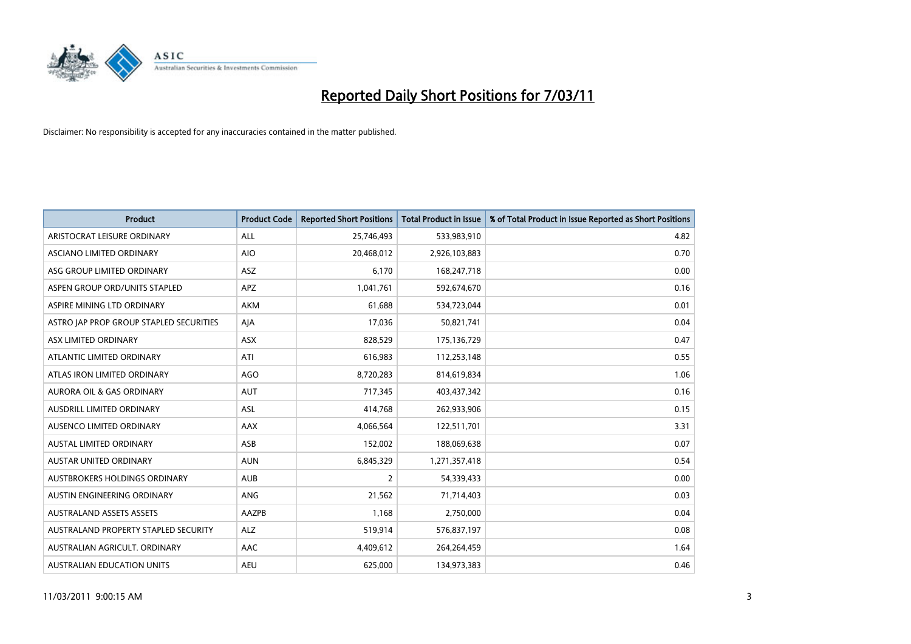

| Product                                 | <b>Product Code</b> | <b>Reported Short Positions</b> | <b>Total Product in Issue</b> | % of Total Product in Issue Reported as Short Positions |
|-----------------------------------------|---------------------|---------------------------------|-------------------------------|---------------------------------------------------------|
| ARISTOCRAT LEISURE ORDINARY             | ALL                 | 25,746,493                      | 533,983,910                   | 4.82                                                    |
| ASCIANO LIMITED ORDINARY                | <b>AIO</b>          | 20,468,012                      | 2,926,103,883                 | 0.70                                                    |
| ASG GROUP LIMITED ORDINARY              | ASZ                 | 6,170                           | 168,247,718                   | 0.00                                                    |
| ASPEN GROUP ORD/UNITS STAPLED           | <b>APZ</b>          | 1,041,761                       | 592,674,670                   | 0.16                                                    |
| ASPIRE MINING LTD ORDINARY              | <b>AKM</b>          | 61,688                          | 534,723,044                   | 0.01                                                    |
| ASTRO JAP PROP GROUP STAPLED SECURITIES | AJA                 | 17,036                          | 50,821,741                    | 0.04                                                    |
| ASX LIMITED ORDINARY                    | <b>ASX</b>          | 828,529                         | 175,136,729                   | 0.47                                                    |
| ATLANTIC LIMITED ORDINARY               | ATI                 | 616,983                         | 112,253,148                   | 0.55                                                    |
| ATLAS IRON LIMITED ORDINARY             | <b>AGO</b>          | 8,720,283                       | 814,619,834                   | 1.06                                                    |
| <b>AURORA OIL &amp; GAS ORDINARY</b>    | <b>AUT</b>          | 717,345                         | 403,437,342                   | 0.16                                                    |
| AUSDRILL LIMITED ORDINARY               | ASL                 | 414,768                         | 262,933,906                   | 0.15                                                    |
| AUSENCO LIMITED ORDINARY                | AAX                 | 4,066,564                       | 122,511,701                   | 3.31                                                    |
| <b>AUSTAL LIMITED ORDINARY</b>          | ASB                 | 152,002                         | 188,069,638                   | 0.07                                                    |
| <b>AUSTAR UNITED ORDINARY</b>           | <b>AUN</b>          | 6,845,329                       | 1,271,357,418                 | 0.54                                                    |
| AUSTBROKERS HOLDINGS ORDINARY           | <b>AUB</b>          | 2                               | 54,339,433                    | 0.00                                                    |
| AUSTIN ENGINEERING ORDINARY             | ANG                 | 21,562                          | 71,714,403                    | 0.03                                                    |
| <b>AUSTRALAND ASSETS ASSETS</b>         | AAZPB               | 1,168                           | 2,750,000                     | 0.04                                                    |
| AUSTRALAND PROPERTY STAPLED SECURITY    | <b>ALZ</b>          | 519,914                         | 576,837,197                   | 0.08                                                    |
| AUSTRALIAN AGRICULT, ORDINARY           | AAC                 | 4,409,612                       | 264,264,459                   | 1.64                                                    |
| AUSTRALIAN EDUCATION UNITS              | <b>AEU</b>          | 625,000                         | 134,973,383                   | 0.46                                                    |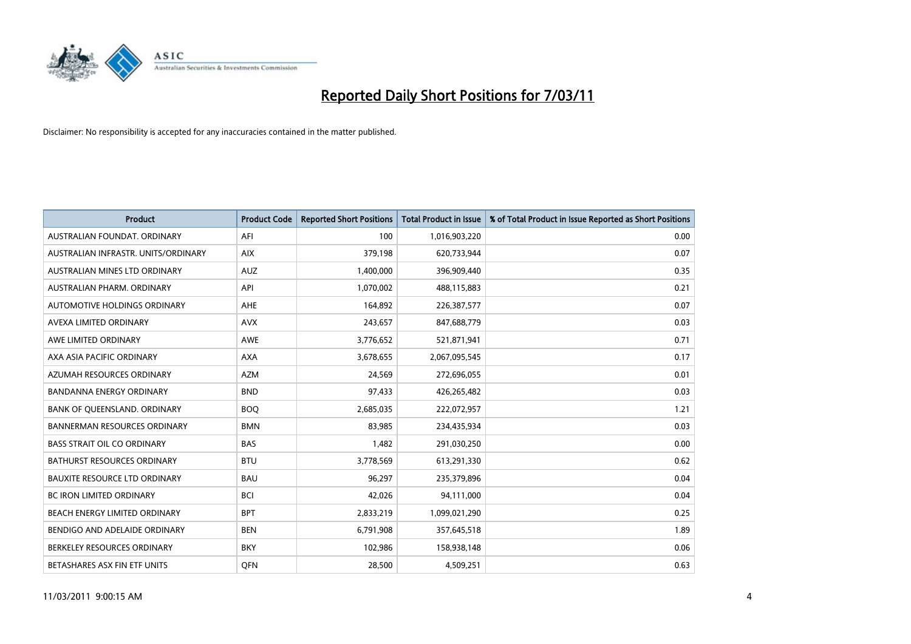

| Product                              | <b>Product Code</b> | <b>Reported Short Positions</b> | <b>Total Product in Issue</b> | % of Total Product in Issue Reported as Short Positions |
|--------------------------------------|---------------------|---------------------------------|-------------------------------|---------------------------------------------------------|
| AUSTRALIAN FOUNDAT, ORDINARY         | AFI                 | 100                             | 1,016,903,220                 | 0.00                                                    |
| AUSTRALIAN INFRASTR, UNITS/ORDINARY  | <b>AIX</b>          | 379,198                         | 620,733,944                   | 0.07                                                    |
| AUSTRALIAN MINES LTD ORDINARY        | <b>AUZ</b>          | 1,400,000                       | 396,909,440                   | 0.35                                                    |
| AUSTRALIAN PHARM. ORDINARY           | API                 | 1,070,002                       | 488,115,883                   | 0.21                                                    |
| AUTOMOTIVE HOLDINGS ORDINARY         | <b>AHE</b>          | 164,892                         | 226,387,577                   | 0.07                                                    |
| AVEXA LIMITED ORDINARY               | <b>AVX</b>          | 243,657                         | 847,688,779                   | 0.03                                                    |
| AWE LIMITED ORDINARY                 | <b>AWE</b>          | 3,776,652                       | 521,871,941                   | 0.71                                                    |
| AXA ASIA PACIFIC ORDINARY            | <b>AXA</b>          | 3,678,655                       | 2,067,095,545                 | 0.17                                                    |
| AZUMAH RESOURCES ORDINARY            | <b>AZM</b>          | 24,569                          | 272,696,055                   | 0.01                                                    |
| <b>BANDANNA ENERGY ORDINARY</b>      | <b>BND</b>          | 97,433                          | 426,265,482                   | 0.03                                                    |
| BANK OF QUEENSLAND. ORDINARY         | <b>BOQ</b>          | 2,685,035                       | 222,072,957                   | 1.21                                                    |
| <b>BANNERMAN RESOURCES ORDINARY</b>  | <b>BMN</b>          | 83,985                          | 234,435,934                   | 0.03                                                    |
| <b>BASS STRAIT OIL CO ORDINARY</b>   | <b>BAS</b>          | 1,482                           | 291,030,250                   | 0.00                                                    |
| <b>BATHURST RESOURCES ORDINARY</b>   | <b>BTU</b>          | 3,778,569                       | 613,291,330                   | 0.62                                                    |
| <b>BAUXITE RESOURCE LTD ORDINARY</b> | <b>BAU</b>          | 96,297                          | 235,379,896                   | 0.04                                                    |
| <b>BC IRON LIMITED ORDINARY</b>      | <b>BCI</b>          | 42,026                          | 94,111,000                    | 0.04                                                    |
| <b>BEACH ENERGY LIMITED ORDINARY</b> | <b>BPT</b>          | 2,833,219                       | 1,099,021,290                 | 0.25                                                    |
| BENDIGO AND ADELAIDE ORDINARY        | <b>BEN</b>          | 6,791,908                       | 357,645,518                   | 1.89                                                    |
| BERKELEY RESOURCES ORDINARY          | <b>BKY</b>          | 102,986                         | 158,938,148                   | 0.06                                                    |
| BETASHARES ASX FIN ETF UNITS         | <b>OFN</b>          | 28,500                          | 4,509,251                     | 0.63                                                    |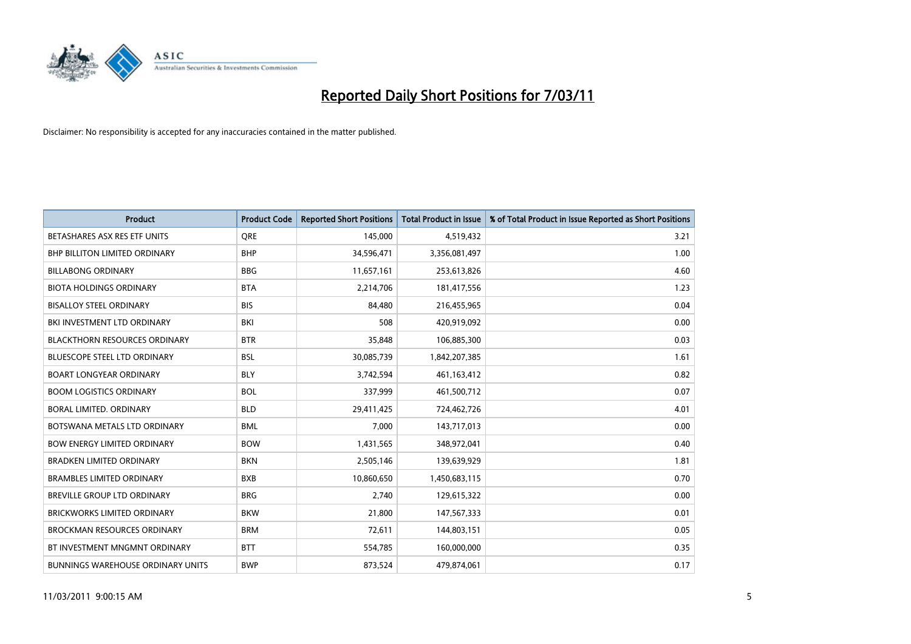

| <b>Product</b>                           | <b>Product Code</b> | <b>Reported Short Positions</b> | <b>Total Product in Issue</b> | % of Total Product in Issue Reported as Short Positions |
|------------------------------------------|---------------------|---------------------------------|-------------------------------|---------------------------------------------------------|
| BETASHARES ASX RES ETF UNITS             | <b>ORE</b>          | 145,000                         | 4,519,432                     | 3.21                                                    |
| BHP BILLITON LIMITED ORDINARY            | <b>BHP</b>          | 34,596,471                      | 3,356,081,497                 | 1.00                                                    |
| <b>BILLABONG ORDINARY</b>                | <b>BBG</b>          | 11,657,161                      | 253,613,826                   | 4.60                                                    |
| <b>BIOTA HOLDINGS ORDINARY</b>           | <b>BTA</b>          | 2,214,706                       | 181,417,556                   | 1.23                                                    |
| <b>BISALLOY STEEL ORDINARY</b>           | <b>BIS</b>          | 84,480                          | 216,455,965                   | 0.04                                                    |
| BKI INVESTMENT LTD ORDINARY              | <b>BKI</b>          | 508                             | 420,919,092                   | 0.00                                                    |
| <b>BLACKTHORN RESOURCES ORDINARY</b>     | <b>BTR</b>          | 35,848                          | 106,885,300                   | 0.03                                                    |
| <b>BLUESCOPE STEEL LTD ORDINARY</b>      | <b>BSL</b>          | 30,085,739                      | 1,842,207,385                 | 1.61                                                    |
| <b>BOART LONGYEAR ORDINARY</b>           | <b>BLY</b>          | 3,742,594                       | 461,163,412                   | 0.82                                                    |
| <b>BOOM LOGISTICS ORDINARY</b>           | <b>BOL</b>          | 337,999                         | 461,500,712                   | 0.07                                                    |
| <b>BORAL LIMITED, ORDINARY</b>           | <b>BLD</b>          | 29,411,425                      | 724,462,726                   | 4.01                                                    |
| BOTSWANA METALS LTD ORDINARY             | <b>BML</b>          | 7,000                           | 143,717,013                   | 0.00                                                    |
| <b>BOW ENERGY LIMITED ORDINARY</b>       | <b>BOW</b>          | 1,431,565                       | 348,972,041                   | 0.40                                                    |
| <b>BRADKEN LIMITED ORDINARY</b>          | <b>BKN</b>          | 2,505,146                       | 139,639,929                   | 1.81                                                    |
| <b>BRAMBLES LIMITED ORDINARY</b>         | <b>BXB</b>          | 10,860,650                      | 1,450,683,115                 | 0.70                                                    |
| <b>BREVILLE GROUP LTD ORDINARY</b>       | <b>BRG</b>          | 2.740                           | 129,615,322                   | 0.00                                                    |
| <b>BRICKWORKS LIMITED ORDINARY</b>       | <b>BKW</b>          | 21,800                          | 147,567,333                   | 0.01                                                    |
| <b>BROCKMAN RESOURCES ORDINARY</b>       | <b>BRM</b>          | 72,611                          | 144,803,151                   | 0.05                                                    |
| BT INVESTMENT MNGMNT ORDINARY            | <b>BTT</b>          | 554,785                         | 160,000,000                   | 0.35                                                    |
| <b>BUNNINGS WAREHOUSE ORDINARY UNITS</b> | <b>BWP</b>          | 873,524                         | 479,874,061                   | 0.17                                                    |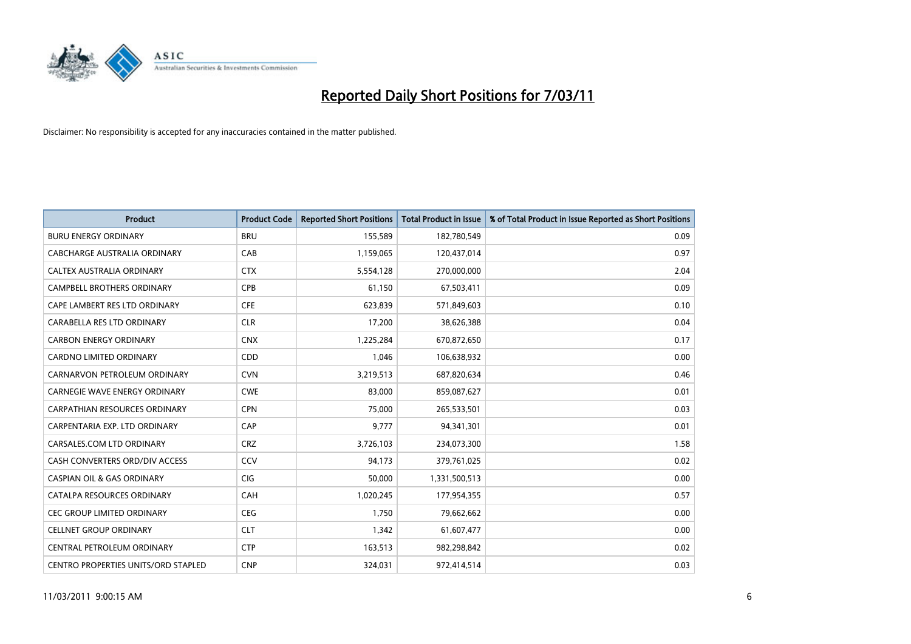

| <b>Product</b>                             | <b>Product Code</b> | <b>Reported Short Positions</b> | <b>Total Product in Issue</b> | % of Total Product in Issue Reported as Short Positions |
|--------------------------------------------|---------------------|---------------------------------|-------------------------------|---------------------------------------------------------|
| <b>BURU ENERGY ORDINARY</b>                | <b>BRU</b>          | 155,589                         | 182,780,549                   | 0.09                                                    |
| CABCHARGE AUSTRALIA ORDINARY               | CAB                 | 1,159,065                       | 120,437,014                   | 0.97                                                    |
| CALTEX AUSTRALIA ORDINARY                  | <b>CTX</b>          | 5,554,128                       | 270,000,000                   | 2.04                                                    |
| CAMPBELL BROTHERS ORDINARY                 | <b>CPB</b>          | 61,150                          | 67,503,411                    | 0.09                                                    |
| CAPE LAMBERT RES LTD ORDINARY              | <b>CFE</b>          | 623,839                         | 571,849,603                   | 0.10                                                    |
| CARABELLA RES LTD ORDINARY                 | <b>CLR</b>          | 17,200                          | 38,626,388                    | 0.04                                                    |
| <b>CARBON ENERGY ORDINARY</b>              | <b>CNX</b>          | 1,225,284                       | 670,872,650                   | 0.17                                                    |
| <b>CARDNO LIMITED ORDINARY</b>             | CDD                 | 1,046                           | 106,638,932                   | 0.00                                                    |
| CARNARVON PETROLEUM ORDINARY               | <b>CVN</b>          | 3,219,513                       | 687,820,634                   | 0.46                                                    |
| CARNEGIE WAVE ENERGY ORDINARY              | <b>CWE</b>          | 83,000                          | 859,087,627                   | 0.01                                                    |
| CARPATHIAN RESOURCES ORDINARY              | <b>CPN</b>          | 75,000                          | 265,533,501                   | 0.03                                                    |
| CARPENTARIA EXP. LTD ORDINARY              | CAP                 | 9.777                           | 94,341,301                    | 0.01                                                    |
| CARSALES.COM LTD ORDINARY                  | <b>CRZ</b>          | 3,726,103                       | 234,073,300                   | 1.58                                                    |
| CASH CONVERTERS ORD/DIV ACCESS             | <b>CCV</b>          | 94,173                          | 379,761,025                   | 0.02                                                    |
| <b>CASPIAN OIL &amp; GAS ORDINARY</b>      | <b>CIG</b>          | 50.000                          | 1,331,500,513                 | 0.00                                                    |
| CATALPA RESOURCES ORDINARY                 | CAH                 | 1,020,245                       | 177,954,355                   | 0.57                                                    |
| <b>CEC GROUP LIMITED ORDINARY</b>          | <b>CEG</b>          | 1,750                           | 79,662,662                    | 0.00                                                    |
| <b>CELLNET GROUP ORDINARY</b>              | <b>CLT</b>          | 1,342                           | 61,607,477                    | 0.00                                                    |
| CENTRAL PETROLEUM ORDINARY                 | <b>CTP</b>          | 163,513                         | 982,298,842                   | 0.02                                                    |
| <b>CENTRO PROPERTIES UNITS/ORD STAPLED</b> | <b>CNP</b>          | 324.031                         | 972.414.514                   | 0.03                                                    |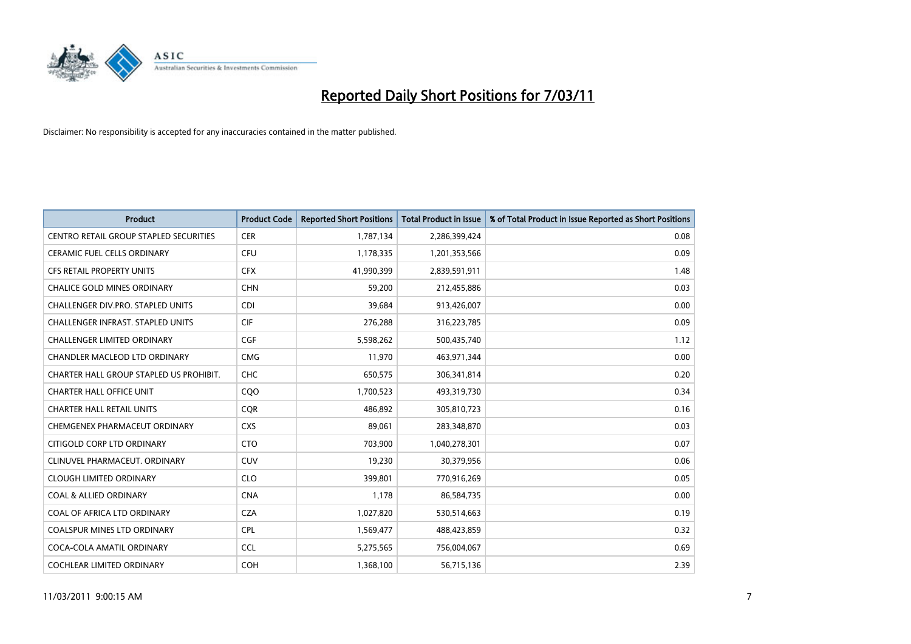

| <b>Product</b>                                | <b>Product Code</b> | <b>Reported Short Positions</b> | <b>Total Product in Issue</b> | % of Total Product in Issue Reported as Short Positions |
|-----------------------------------------------|---------------------|---------------------------------|-------------------------------|---------------------------------------------------------|
| <b>CENTRO RETAIL GROUP STAPLED SECURITIES</b> | <b>CER</b>          | 1,787,134                       | 2,286,399,424                 | 0.08                                                    |
| CERAMIC FUEL CELLS ORDINARY                   | <b>CFU</b>          | 1,178,335                       | 1,201,353,566                 | 0.09                                                    |
| <b>CFS RETAIL PROPERTY UNITS</b>              | <b>CFX</b>          | 41,990,399                      | 2,839,591,911                 | 1.48                                                    |
| CHALICE GOLD MINES ORDINARY                   | <b>CHN</b>          | 59,200                          | 212,455,886                   | 0.03                                                    |
| CHALLENGER DIV.PRO. STAPLED UNITS             | <b>CDI</b>          | 39,684                          | 913,426,007                   | 0.00                                                    |
| <b>CHALLENGER INFRAST, STAPLED UNITS</b>      | <b>CIF</b>          | 276,288                         | 316,223,785                   | 0.09                                                    |
| <b>CHALLENGER LIMITED ORDINARY</b>            | <b>CGF</b>          | 5,598,262                       | 500,435,740                   | 1.12                                                    |
| CHANDLER MACLEOD LTD ORDINARY                 | <b>CMG</b>          | 11,970                          | 463,971,344                   | 0.00                                                    |
| CHARTER HALL GROUP STAPLED US PROHIBIT.       | <b>CHC</b>          | 650,575                         | 306,341,814                   | 0.20                                                    |
| <b>CHARTER HALL OFFICE UNIT</b>               | CQ <sub>O</sub>     | 1,700,523                       | 493,319,730                   | 0.34                                                    |
| <b>CHARTER HALL RETAIL UNITS</b>              | <b>CQR</b>          | 486,892                         | 305,810,723                   | 0.16                                                    |
| CHEMGENEX PHARMACEUT ORDINARY                 | <b>CXS</b>          | 89,061                          | 283,348,870                   | 0.03                                                    |
| CITIGOLD CORP LTD ORDINARY                    | <b>CTO</b>          | 703,900                         | 1,040,278,301                 | 0.07                                                    |
| CLINUVEL PHARMACEUT, ORDINARY                 | <b>CUV</b>          | 19,230                          | 30,379,956                    | 0.06                                                    |
| <b>CLOUGH LIMITED ORDINARY</b>                | <b>CLO</b>          | 399,801                         | 770,916,269                   | 0.05                                                    |
| <b>COAL &amp; ALLIED ORDINARY</b>             | <b>CNA</b>          | 1.178                           | 86,584,735                    | 0.00                                                    |
| COAL OF AFRICA LTD ORDINARY                   | <b>CZA</b>          | 1,027,820                       | 530,514,663                   | 0.19                                                    |
| COALSPUR MINES LTD ORDINARY                   | <b>CPL</b>          | 1,569,477                       | 488,423,859                   | 0.32                                                    |
| COCA-COLA AMATIL ORDINARY                     | <b>CCL</b>          | 5,275,565                       | 756,004,067                   | 0.69                                                    |
| COCHLEAR LIMITED ORDINARY                     | <b>COH</b>          | 1,368,100                       | 56,715,136                    | 2.39                                                    |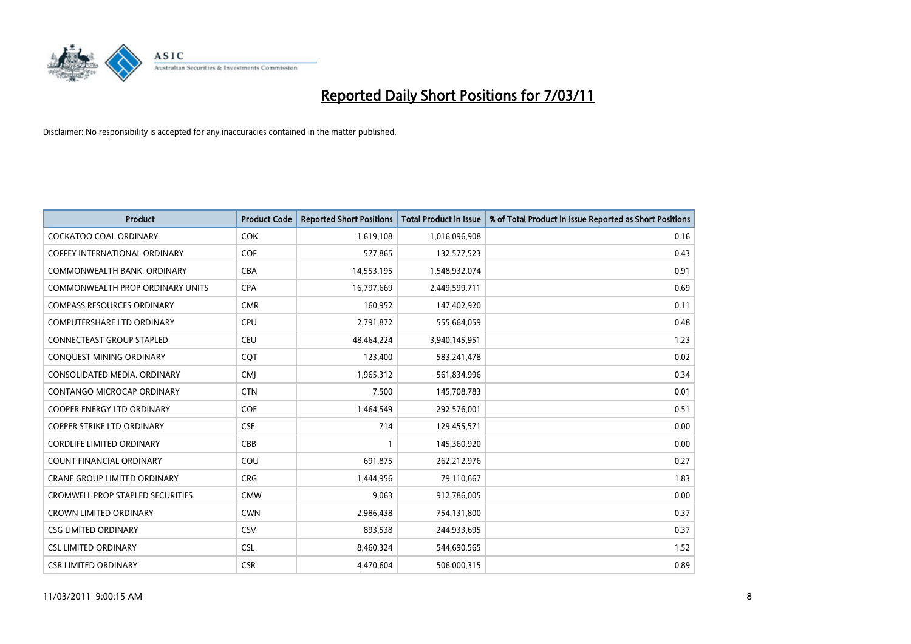

| <b>Product</b>                          | <b>Product Code</b> | <b>Reported Short Positions</b> | Total Product in Issue | % of Total Product in Issue Reported as Short Positions |
|-----------------------------------------|---------------------|---------------------------------|------------------------|---------------------------------------------------------|
| <b>COCKATOO COAL ORDINARY</b>           | <b>COK</b>          | 1,619,108                       | 1,016,096,908          | 0.16                                                    |
| COFFEY INTERNATIONAL ORDINARY           | <b>COF</b>          | 577,865                         | 132,577,523            | 0.43                                                    |
| COMMONWEALTH BANK, ORDINARY             | <b>CBA</b>          | 14,553,195                      | 1,548,932,074          | 0.91                                                    |
| COMMONWEALTH PROP ORDINARY UNITS        | <b>CPA</b>          | 16,797,669                      | 2,449,599,711          | 0.69                                                    |
| <b>COMPASS RESOURCES ORDINARY</b>       | <b>CMR</b>          | 160,952                         | 147,402,920            | 0.11                                                    |
| <b>COMPUTERSHARE LTD ORDINARY</b>       | <b>CPU</b>          | 2,791,872                       | 555,664,059            | 0.48                                                    |
| <b>CONNECTEAST GROUP STAPLED</b>        | <b>CEU</b>          | 48,464,224                      | 3,940,145,951          | 1.23                                                    |
| CONQUEST MINING ORDINARY                | <b>CQT</b>          | 123,400                         | 583,241,478            | 0.02                                                    |
| CONSOLIDATED MEDIA, ORDINARY            | <b>CMI</b>          | 1,965,312                       | 561,834,996            | 0.34                                                    |
| CONTANGO MICROCAP ORDINARY              | <b>CTN</b>          | 7,500                           | 145,708,783            | 0.01                                                    |
| <b>COOPER ENERGY LTD ORDINARY</b>       | <b>COE</b>          | 1,464,549                       | 292,576,001            | 0.51                                                    |
| COPPER STRIKE LTD ORDINARY              | <b>CSE</b>          | 714                             | 129,455,571            | 0.00                                                    |
| <b>CORDLIFE LIMITED ORDINARY</b>        | CBB                 |                                 | 145,360,920            | 0.00                                                    |
| <b>COUNT FINANCIAL ORDINARY</b>         | COU                 | 691,875                         | 262,212,976            | 0.27                                                    |
| <b>CRANE GROUP LIMITED ORDINARY</b>     | <b>CRG</b>          | 1,444,956                       | 79,110,667             | 1.83                                                    |
| <b>CROMWELL PROP STAPLED SECURITIES</b> | <b>CMW</b>          | 9.063                           | 912,786,005            | 0.00                                                    |
| <b>CROWN LIMITED ORDINARY</b>           | <b>CWN</b>          | 2,986,438                       | 754,131,800            | 0.37                                                    |
| <b>CSG LIMITED ORDINARY</b>             | CSV                 | 893,538                         | 244,933,695            | 0.37                                                    |
| <b>CSL LIMITED ORDINARY</b>             | <b>CSL</b>          | 8,460,324                       | 544,690,565            | 1.52                                                    |
| <b>CSR LIMITED ORDINARY</b>             | <b>CSR</b>          | 4,470,604                       | 506,000,315            | 0.89                                                    |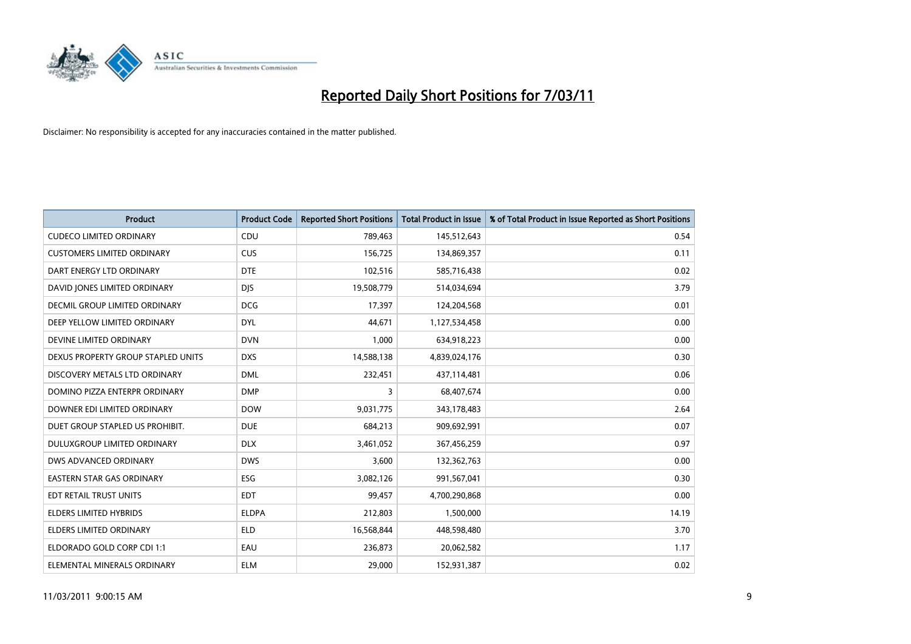

| <b>Product</b>                     | <b>Product Code</b> | <b>Reported Short Positions</b> | <b>Total Product in Issue</b> | % of Total Product in Issue Reported as Short Positions |
|------------------------------------|---------------------|---------------------------------|-------------------------------|---------------------------------------------------------|
| <b>CUDECO LIMITED ORDINARY</b>     | CDU                 | 789,463                         | 145,512,643                   | 0.54                                                    |
| <b>CUSTOMERS LIMITED ORDINARY</b>  | <b>CUS</b>          | 156,725                         | 134,869,357                   | 0.11                                                    |
| DART ENERGY LTD ORDINARY           | <b>DTE</b>          | 102,516                         | 585,716,438                   | 0.02                                                    |
| DAVID JONES LIMITED ORDINARY       | <b>DJS</b>          | 19,508,779                      | 514,034,694                   | 3.79                                                    |
| DECMIL GROUP LIMITED ORDINARY      | <b>DCG</b>          | 17,397                          | 124,204,568                   | 0.01                                                    |
| DEEP YELLOW LIMITED ORDINARY       | <b>DYL</b>          | 44.671                          | 1,127,534,458                 | 0.00                                                    |
| DEVINE LIMITED ORDINARY            | <b>DVN</b>          | 1,000                           | 634,918,223                   | 0.00                                                    |
| DEXUS PROPERTY GROUP STAPLED UNITS | <b>DXS</b>          | 14,588,138                      | 4,839,024,176                 | 0.30                                                    |
| DISCOVERY METALS LTD ORDINARY      | <b>DML</b>          | 232,451                         | 437,114,481                   | 0.06                                                    |
| DOMINO PIZZA ENTERPR ORDINARY      | <b>DMP</b>          | 3                               | 68,407,674                    | 0.00                                                    |
| DOWNER EDI LIMITED ORDINARY        | <b>DOW</b>          | 9,031,775                       | 343,178,483                   | 2.64                                                    |
| DUET GROUP STAPLED US PROHIBIT.    | <b>DUE</b>          | 684,213                         | 909,692,991                   | 0.07                                                    |
| DULUXGROUP LIMITED ORDINARY        | <b>DLX</b>          | 3,461,052                       | 367,456,259                   | 0.97                                                    |
| <b>DWS ADVANCED ORDINARY</b>       | <b>DWS</b>          | 3,600                           | 132,362,763                   | 0.00                                                    |
| <b>EASTERN STAR GAS ORDINARY</b>   | ESG                 | 3,082,126                       | 991,567,041                   | 0.30                                                    |
| EDT RETAIL TRUST UNITS             | <b>EDT</b>          | 99,457                          | 4,700,290,868                 | 0.00                                                    |
| <b>ELDERS LIMITED HYBRIDS</b>      | <b>ELDPA</b>        | 212,803                         | 1,500,000                     | 14.19                                                   |
| ELDERS LIMITED ORDINARY            | <b>ELD</b>          | 16,568,844                      | 448,598,480                   | 3.70                                                    |
| ELDORADO GOLD CORP CDI 1:1         | EAU                 | 236,873                         | 20,062,582                    | 1.17                                                    |
| ELEMENTAL MINERALS ORDINARY        | <b>ELM</b>          | 29.000                          | 152,931,387                   | 0.02                                                    |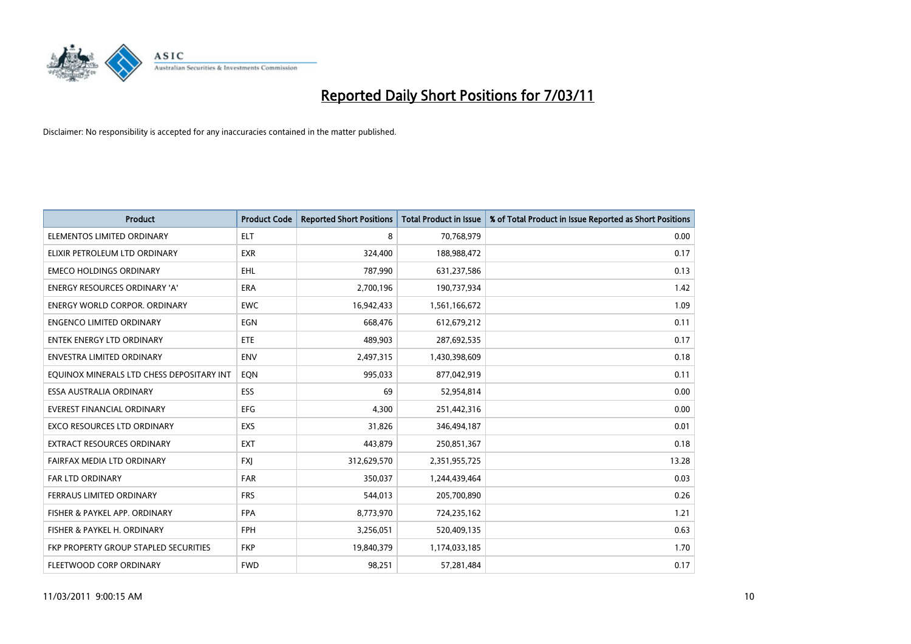

| <b>Product</b>                            | <b>Product Code</b> | <b>Reported Short Positions</b> | <b>Total Product in Issue</b> | % of Total Product in Issue Reported as Short Positions |
|-------------------------------------------|---------------------|---------------------------------|-------------------------------|---------------------------------------------------------|
| ELEMENTOS LIMITED ORDINARY                | <b>ELT</b>          | 8                               | 70,768,979                    | 0.00                                                    |
| ELIXIR PETROLEUM LTD ORDINARY             | <b>EXR</b>          | 324,400                         | 188,988,472                   | 0.17                                                    |
| <b>EMECO HOLDINGS ORDINARY</b>            | <b>EHL</b>          | 787,990                         | 631,237,586                   | 0.13                                                    |
| ENERGY RESOURCES ORDINARY 'A'             | <b>ERA</b>          | 2,700,196                       | 190,737,934                   | 1.42                                                    |
| <b>ENERGY WORLD CORPOR, ORDINARY</b>      | <b>EWC</b>          | 16,942,433                      | 1,561,166,672                 | 1.09                                                    |
| <b>ENGENCO LIMITED ORDINARY</b>           | <b>EGN</b>          | 668,476                         | 612,679,212                   | 0.11                                                    |
| <b>ENTEK ENERGY LTD ORDINARY</b>          | ETE                 | 489,903                         | 287,692,535                   | 0.17                                                    |
| ENVESTRA LIMITED ORDINARY                 | <b>ENV</b>          | 2,497,315                       | 1,430,398,609                 | 0.18                                                    |
| EQUINOX MINERALS LTD CHESS DEPOSITARY INT | EQN                 | 995,033                         | 877,042,919                   | 0.11                                                    |
| ESSA AUSTRALIA ORDINARY                   | ESS                 | 69                              | 52,954,814                    | 0.00                                                    |
| EVEREST FINANCIAL ORDINARY                | <b>EFG</b>          | 4,300                           | 251,442,316                   | 0.00                                                    |
| <b>EXCO RESOURCES LTD ORDINARY</b>        | <b>EXS</b>          | 31,826                          | 346,494,187                   | 0.01                                                    |
| EXTRACT RESOURCES ORDINARY                | <b>EXT</b>          | 443,879                         | 250,851,367                   | 0.18                                                    |
| FAIRFAX MEDIA LTD ORDINARY                | <b>FXI</b>          | 312,629,570                     | 2,351,955,725                 | 13.28                                                   |
| <b>FAR LTD ORDINARY</b>                   | <b>FAR</b>          | 350,037                         | 1,244,439,464                 | 0.03                                                    |
| FERRAUS LIMITED ORDINARY                  | <b>FRS</b>          | 544,013                         | 205,700,890                   | 0.26                                                    |
| FISHER & PAYKEL APP. ORDINARY             | <b>FPA</b>          | 8,773,970                       | 724,235,162                   | 1.21                                                    |
| FISHER & PAYKEL H. ORDINARY               | <b>FPH</b>          | 3,256,051                       | 520,409,135                   | 0.63                                                    |
| FKP PROPERTY GROUP STAPLED SECURITIES     | <b>FKP</b>          | 19,840,379                      | 1,174,033,185                 | 1.70                                                    |
| FLEETWOOD CORP ORDINARY                   | <b>FWD</b>          | 98,251                          | 57,281,484                    | 0.17                                                    |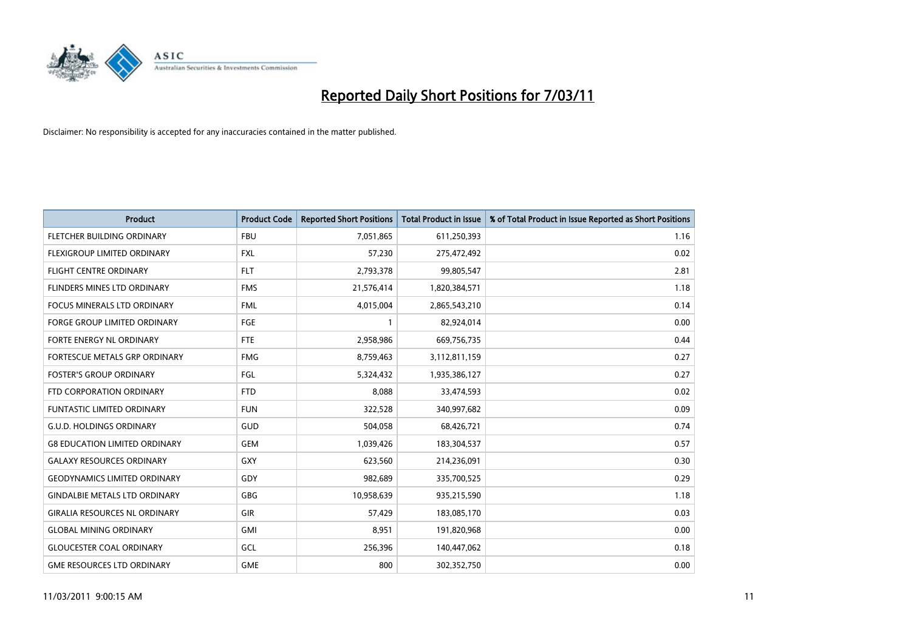

| <b>Product</b>                       | <b>Product Code</b> | <b>Reported Short Positions</b> | Total Product in Issue | % of Total Product in Issue Reported as Short Positions |
|--------------------------------------|---------------------|---------------------------------|------------------------|---------------------------------------------------------|
| FLETCHER BUILDING ORDINARY           | <b>FBU</b>          | 7,051,865                       | 611,250,393            | 1.16                                                    |
| FLEXIGROUP LIMITED ORDINARY          | <b>FXL</b>          | 57,230                          | 275,472,492            | 0.02                                                    |
| <b>FLIGHT CENTRE ORDINARY</b>        | <b>FLT</b>          | 2,793,378                       | 99,805,547             | 2.81                                                    |
| FLINDERS MINES LTD ORDINARY          | <b>FMS</b>          | 21,576,414                      | 1,820,384,571          | 1.18                                                    |
| <b>FOCUS MINERALS LTD ORDINARY</b>   | <b>FML</b>          | 4,015,004                       | 2,865,543,210          | 0.14                                                    |
| <b>FORGE GROUP LIMITED ORDINARY</b>  | FGE                 |                                 | 82,924,014             | 0.00                                                    |
| FORTE ENERGY NL ORDINARY             | FTE                 | 2,958,986                       | 669,756,735            | 0.44                                                    |
| FORTESCUE METALS GRP ORDINARY        | <b>FMG</b>          | 8,759,463                       | 3,112,811,159          | 0.27                                                    |
| <b>FOSTER'S GROUP ORDINARY</b>       | FGL                 | 5,324,432                       | 1,935,386,127          | 0.27                                                    |
| FTD CORPORATION ORDINARY             | <b>FTD</b>          | 8,088                           | 33,474,593             | 0.02                                                    |
| <b>FUNTASTIC LIMITED ORDINARY</b>    | <b>FUN</b>          | 322,528                         | 340,997,682            | 0.09                                                    |
| <b>G.U.D. HOLDINGS ORDINARY</b>      | GUD                 | 504,058                         | 68,426,721             | 0.74                                                    |
| <b>G8 EDUCATION LIMITED ORDINARY</b> | <b>GEM</b>          | 1,039,426                       | 183,304,537            | 0.57                                                    |
| <b>GALAXY RESOURCES ORDINARY</b>     | GXY                 | 623,560                         | 214,236,091            | 0.30                                                    |
| <b>GEODYNAMICS LIMITED ORDINARY</b>  | GDY                 | 982,689                         | 335,700,525            | 0.29                                                    |
| <b>GINDALBIE METALS LTD ORDINARY</b> | <b>GBG</b>          | 10,958,639                      | 935,215,590            | 1.18                                                    |
| <b>GIRALIA RESOURCES NL ORDINARY</b> | GIR                 | 57,429                          | 183,085,170            | 0.03                                                    |
| <b>GLOBAL MINING ORDINARY</b>        | <b>GMI</b>          | 8,951                           | 191,820,968            | 0.00                                                    |
| <b>GLOUCESTER COAL ORDINARY</b>      | GCL                 | 256,396                         | 140,447,062            | 0.18                                                    |
| <b>GME RESOURCES LTD ORDINARY</b>    | <b>GME</b>          | 800                             | 302,352,750            | 0.00                                                    |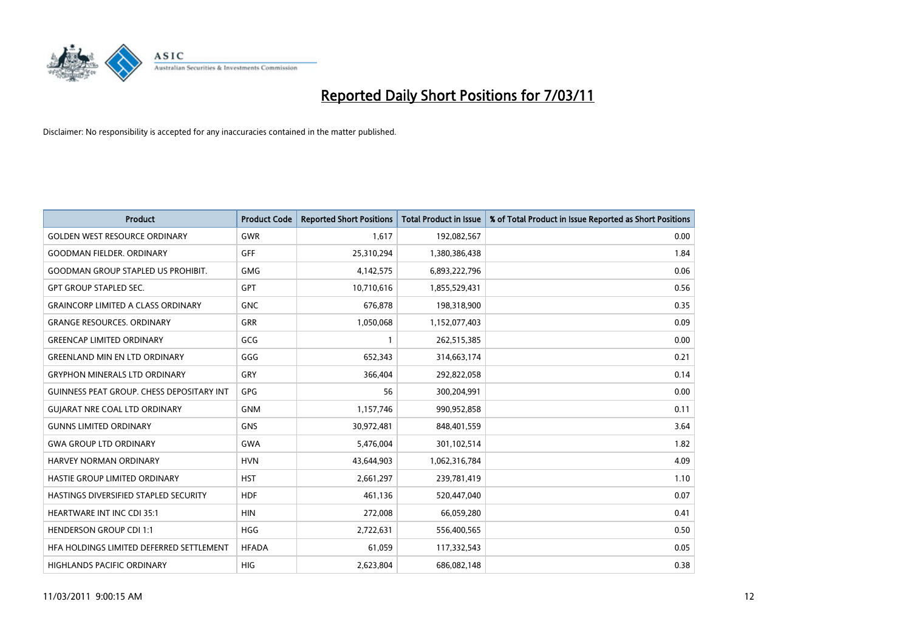

| <b>Product</b>                                   | <b>Product Code</b> | <b>Reported Short Positions</b> | Total Product in Issue | % of Total Product in Issue Reported as Short Positions |
|--------------------------------------------------|---------------------|---------------------------------|------------------------|---------------------------------------------------------|
| <b>GOLDEN WEST RESOURCE ORDINARY</b>             | <b>GWR</b>          | 1,617                           | 192,082,567            | 0.00                                                    |
| <b>GOODMAN FIELDER, ORDINARY</b>                 | GFF                 | 25,310,294                      | 1,380,386,438          | 1.84                                                    |
| <b>GOODMAN GROUP STAPLED US PROHIBIT.</b>        | <b>GMG</b>          | 4,142,575                       | 6,893,222,796          | 0.06                                                    |
| <b>GPT GROUP STAPLED SEC.</b>                    | <b>GPT</b>          | 10,710,616                      | 1,855,529,431          | 0.56                                                    |
| <b>GRAINCORP LIMITED A CLASS ORDINARY</b>        | <b>GNC</b>          | 676.878                         | 198,318,900            | 0.35                                                    |
| <b>GRANGE RESOURCES, ORDINARY</b>                | <b>GRR</b>          | 1,050,068                       | 1,152,077,403          | 0.09                                                    |
| <b>GREENCAP LIMITED ORDINARY</b>                 | GCG                 |                                 | 262,515,385            | 0.00                                                    |
| <b>GREENLAND MIN EN LTD ORDINARY</b>             | GGG                 | 652,343                         | 314,663,174            | 0.21                                                    |
| <b>GRYPHON MINERALS LTD ORDINARY</b>             | GRY                 | 366,404                         | 292,822,058            | 0.14                                                    |
| <b>GUINNESS PEAT GROUP. CHESS DEPOSITARY INT</b> | <b>GPG</b>          | 56                              | 300,204,991            | 0.00                                                    |
| <b>GUIARAT NRE COAL LTD ORDINARY</b>             | <b>GNM</b>          | 1,157,746                       | 990,952,858            | 0.11                                                    |
| <b>GUNNS LIMITED ORDINARY</b>                    | <b>GNS</b>          | 30,972,481                      | 848,401,559            | 3.64                                                    |
| <b>GWA GROUP LTD ORDINARY</b>                    | <b>GWA</b>          | 5,476,004                       | 301,102,514            | 1.82                                                    |
| HARVEY NORMAN ORDINARY                           | <b>HVN</b>          | 43,644,903                      | 1,062,316,784          | 4.09                                                    |
| <b>HASTIE GROUP LIMITED ORDINARY</b>             | <b>HST</b>          | 2,661,297                       | 239,781,419            | 1.10                                                    |
| HASTINGS DIVERSIFIED STAPLED SECURITY            | <b>HDF</b>          | 461,136                         | 520,447,040            | 0.07                                                    |
| <b>HEARTWARE INT INC CDI 35:1</b>                | <b>HIN</b>          | 272,008                         | 66,059,280             | 0.41                                                    |
| <b>HENDERSON GROUP CDI 1:1</b>                   | <b>HGG</b>          | 2,722,631                       | 556,400,565            | 0.50                                                    |
| HFA HOLDINGS LIMITED DEFERRED SETTLEMENT         | <b>HFADA</b>        | 61,059                          | 117,332,543            | 0.05                                                    |
| <b>HIGHLANDS PACIFIC ORDINARY</b>                | <b>HIG</b>          | 2.623.804                       | 686,082,148            | 0.38                                                    |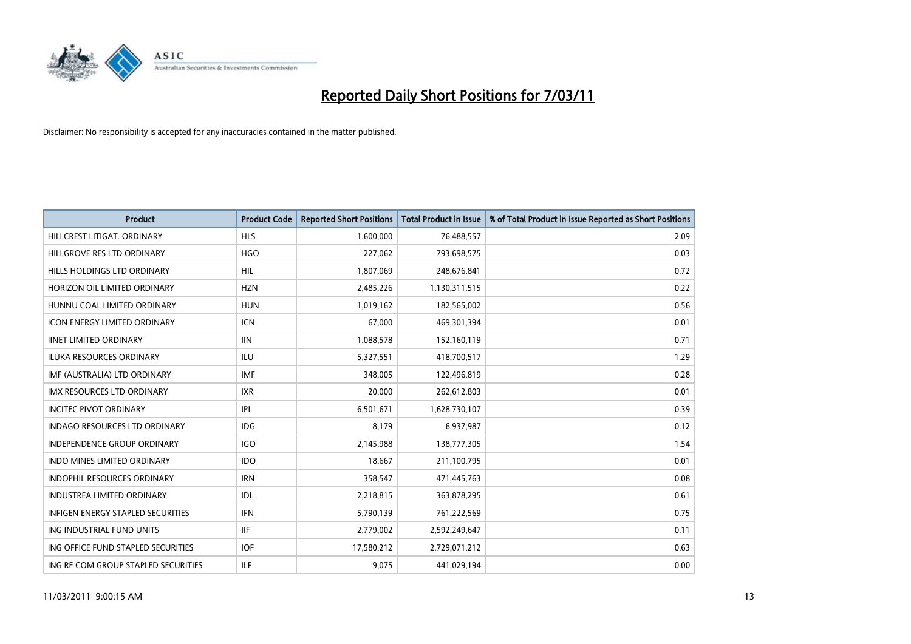

| Product                                  | <b>Product Code</b> | <b>Reported Short Positions</b> | Total Product in Issue | % of Total Product in Issue Reported as Short Positions |
|------------------------------------------|---------------------|---------------------------------|------------------------|---------------------------------------------------------|
| HILLCREST LITIGAT, ORDINARY              | <b>HLS</b>          | 1,600,000                       | 76,488,557             | 2.09                                                    |
| HILLGROVE RES LTD ORDINARY               | <b>HGO</b>          | 227,062                         | 793,698,575            | 0.03                                                    |
| HILLS HOLDINGS LTD ORDINARY              | <b>HIL</b>          | 1,807,069                       | 248,676,841            | 0.72                                                    |
| HORIZON OIL LIMITED ORDINARY             | <b>HZN</b>          | 2,485,226                       | 1,130,311,515          | 0.22                                                    |
| HUNNU COAL LIMITED ORDINARY              | <b>HUN</b>          | 1,019,162                       | 182,565,002            | 0.56                                                    |
| <b>ICON ENERGY LIMITED ORDINARY</b>      | <b>ICN</b>          | 67,000                          | 469,301,394            | 0.01                                                    |
| <b>IINET LIMITED ORDINARY</b>            | <b>IIN</b>          | 1,088,578                       | 152,160,119            | 0.71                                                    |
| ILUKA RESOURCES ORDINARY                 | ILU                 | 5,327,551                       | 418,700,517            | 1.29                                                    |
| IMF (AUSTRALIA) LTD ORDINARY             | <b>IMF</b>          | 348,005                         | 122,496,819            | 0.28                                                    |
| <b>IMX RESOURCES LTD ORDINARY</b>        | <b>IXR</b>          | 20,000                          | 262,612,803            | 0.01                                                    |
| <b>INCITEC PIVOT ORDINARY</b>            | IPL                 | 6,501,671                       | 1,628,730,107          | 0.39                                                    |
| INDAGO RESOURCES LTD ORDINARY            | IDG                 | 8,179                           | 6,937,987              | 0.12                                                    |
| <b>INDEPENDENCE GROUP ORDINARY</b>       | <b>IGO</b>          | 2,145,988                       | 138,777,305            | 1.54                                                    |
| <b>INDO MINES LIMITED ORDINARY</b>       | <b>IDO</b>          | 18.667                          | 211,100,795            | 0.01                                                    |
| <b>INDOPHIL RESOURCES ORDINARY</b>       | <b>IRN</b>          | 358,547                         | 471,445,763            | 0.08                                                    |
| <b>INDUSTREA LIMITED ORDINARY</b>        | IDL                 | 2,218,815                       | 363,878,295            | 0.61                                                    |
| <b>INFIGEN ENERGY STAPLED SECURITIES</b> | <b>IFN</b>          | 5,790,139                       | 761,222,569            | 0.75                                                    |
| ING INDUSTRIAL FUND UNITS                | <b>IIF</b>          | 2,779,002                       | 2,592,249,647          | 0.11                                                    |
| ING OFFICE FUND STAPLED SECURITIES       | <b>IOF</b>          | 17,580,212                      | 2,729,071,212          | 0.63                                                    |
| ING RE COM GROUP STAPLED SECURITIES      | ILF.                | 9,075                           | 441,029,194            | 0.00                                                    |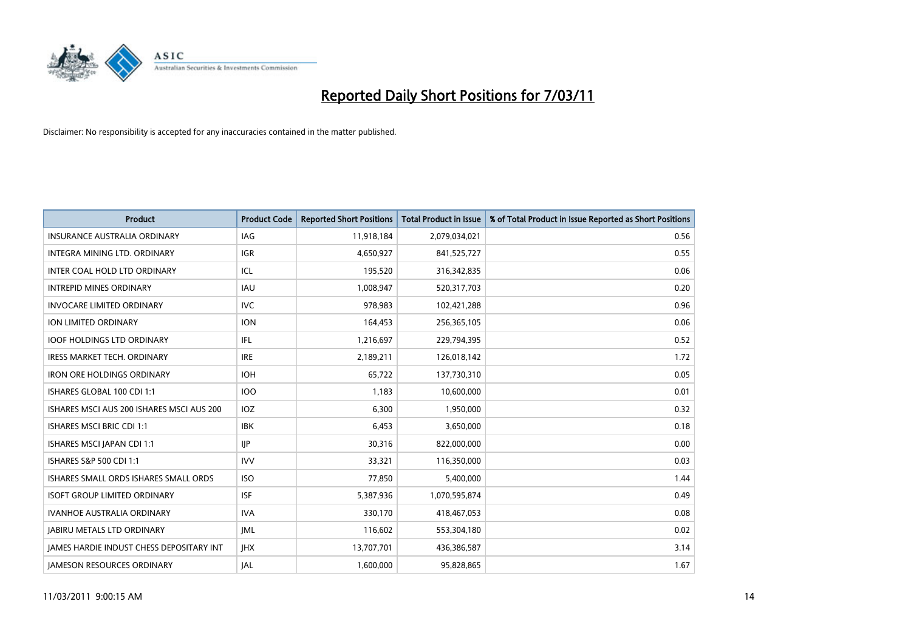

| Product                                         | <b>Product Code</b> | <b>Reported Short Positions</b> | <b>Total Product in Issue</b> | % of Total Product in Issue Reported as Short Positions |
|-------------------------------------------------|---------------------|---------------------------------|-------------------------------|---------------------------------------------------------|
| <b>INSURANCE AUSTRALIA ORDINARY</b>             | IAG                 | 11,918,184                      | 2,079,034,021                 | 0.56                                                    |
| INTEGRA MINING LTD, ORDINARY                    | <b>IGR</b>          | 4,650,927                       | 841,525,727                   | 0.55                                                    |
| INTER COAL HOLD LTD ORDINARY                    | ICL                 | 195,520                         | 316,342,835                   | 0.06                                                    |
| <b>INTREPID MINES ORDINARY</b>                  | <b>IAU</b>          | 1,008,947                       | 520,317,703                   | 0.20                                                    |
| <b>INVOCARE LIMITED ORDINARY</b>                | <b>IVC</b>          | 978.983                         | 102,421,288                   | 0.96                                                    |
| ION LIMITED ORDINARY                            | <b>ION</b>          | 164,453                         | 256,365,105                   | 0.06                                                    |
| <b>IOOF HOLDINGS LTD ORDINARY</b>               | <b>IFL</b>          | 1,216,697                       | 229,794,395                   | 0.52                                                    |
| <b>IRESS MARKET TECH. ORDINARY</b>              | <b>IRE</b>          | 2,189,211                       | 126,018,142                   | 1.72                                                    |
| <b>IRON ORE HOLDINGS ORDINARY</b>               | <b>IOH</b>          | 65,722                          | 137,730,310                   | 0.05                                                    |
| ISHARES GLOBAL 100 CDI 1:1                      | <b>IOO</b>          | 1,183                           | 10,600,000                    | 0.01                                                    |
| ISHARES MSCI AUS 200 ISHARES MSCI AUS 200       | IOZ                 | 6,300                           | 1,950,000                     | 0.32                                                    |
| <b>ISHARES MSCI BRIC CDI 1:1</b>                | <b>IBK</b>          | 6,453                           | 3,650,000                     | 0.18                                                    |
| ISHARES MSCI JAPAN CDI 1:1                      | $\mathsf{HP}$       | 30,316                          | 822,000,000                   | 0.00                                                    |
| ISHARES S&P 500 CDI 1:1                         | <b>IVV</b>          | 33,321                          | 116,350,000                   | 0.03                                                    |
| ISHARES SMALL ORDS ISHARES SMALL ORDS           | <b>ISO</b>          | 77,850                          | 5,400,000                     | 1.44                                                    |
| <b>ISOFT GROUP LIMITED ORDINARY</b>             | <b>ISF</b>          | 5,387,936                       | 1,070,595,874                 | 0.49                                                    |
| <b>IVANHOE AUSTRALIA ORDINARY</b>               | <b>IVA</b>          | 330,170                         | 418,467,053                   | 0.08                                                    |
| <b>JABIRU METALS LTD ORDINARY</b>               | <b>JML</b>          | 116,602                         | 553,304,180                   | 0.02                                                    |
| <b>IAMES HARDIE INDUST CHESS DEPOSITARY INT</b> | <b>IHX</b>          | 13,707,701                      | 436,386,587                   | 3.14                                                    |
| <b>IAMESON RESOURCES ORDINARY</b>               | <b>JAL</b>          | 1,600,000                       | 95,828,865                    | 1.67                                                    |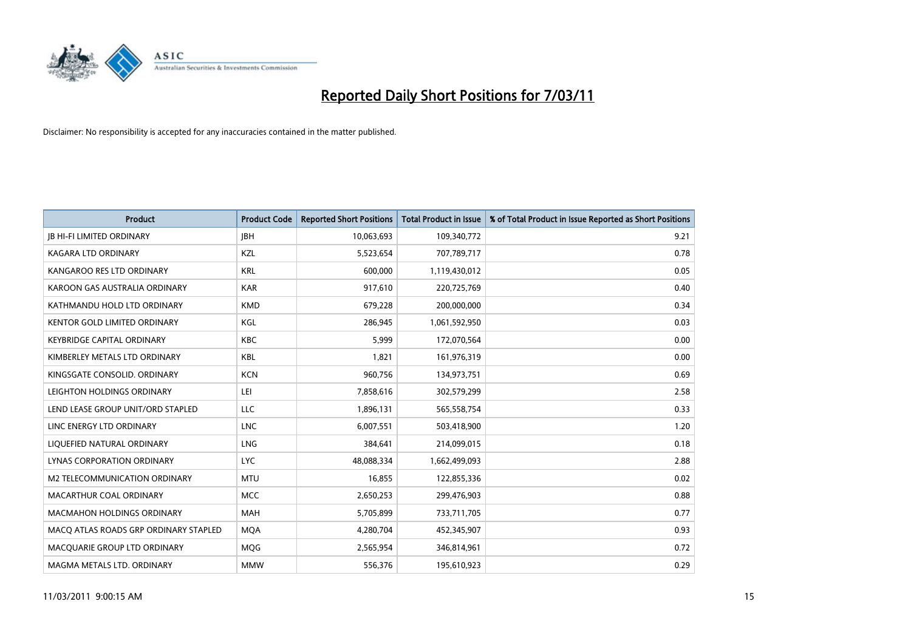

| <b>Product</b>                        | <b>Product Code</b> | <b>Reported Short Positions</b> | Total Product in Issue | % of Total Product in Issue Reported as Short Positions |
|---------------------------------------|---------------------|---------------------------------|------------------------|---------------------------------------------------------|
| <b>JB HI-FI LIMITED ORDINARY</b>      | <b>IBH</b>          | 10,063,693                      | 109,340,772            | 9.21                                                    |
| <b>KAGARA LTD ORDINARY</b>            | KZL                 | 5,523,654                       | 707,789,717            | 0.78                                                    |
| KANGAROO RES LTD ORDINARY             | <b>KRL</b>          | 600,000                         | 1,119,430,012          | 0.05                                                    |
| KAROON GAS AUSTRALIA ORDINARY         | <b>KAR</b>          | 917,610                         | 220,725,769            | 0.40                                                    |
| KATHMANDU HOLD LTD ORDINARY           | <b>KMD</b>          | 679,228                         | 200,000,000            | 0.34                                                    |
| <b>KENTOR GOLD LIMITED ORDINARY</b>   | KGL                 | 286,945                         | 1,061,592,950          | 0.03                                                    |
| <b>KEYBRIDGE CAPITAL ORDINARY</b>     | <b>KBC</b>          | 5.999                           | 172,070,564            | 0.00                                                    |
| KIMBERLEY METALS LTD ORDINARY         | <b>KBL</b>          | 1,821                           | 161,976,319            | 0.00                                                    |
| KINGSGATE CONSOLID. ORDINARY          | <b>KCN</b>          | 960,756                         | 134,973,751            | 0.69                                                    |
| LEIGHTON HOLDINGS ORDINARY            | LEI                 | 7,858,616                       | 302,579,299            | 2.58                                                    |
| LEND LEASE GROUP UNIT/ORD STAPLED     | <b>LLC</b>          | 1,896,131                       | 565,558,754            | 0.33                                                    |
| LINC ENERGY LTD ORDINARY              | <b>LNC</b>          | 6,007,551                       | 503,418,900            | 1.20                                                    |
| LIQUEFIED NATURAL ORDINARY            | <b>LNG</b>          | 384.641                         | 214,099,015            | 0.18                                                    |
| LYNAS CORPORATION ORDINARY            | <b>LYC</b>          | 48,088,334                      | 1,662,499,093          | 2.88                                                    |
| M2 TELECOMMUNICATION ORDINARY         | <b>MTU</b>          | 16,855                          | 122,855,336            | 0.02                                                    |
| MACARTHUR COAL ORDINARY               | <b>MCC</b>          | 2,650,253                       | 299,476,903            | 0.88                                                    |
| <b>MACMAHON HOLDINGS ORDINARY</b>     | <b>MAH</b>          | 5,705,899                       | 733,711,705            | 0.77                                                    |
| MACQ ATLAS ROADS GRP ORDINARY STAPLED | <b>MOA</b>          | 4,280,704                       | 452,345,907            | 0.93                                                    |
| MACOUARIE GROUP LTD ORDINARY          | MQG                 | 2,565,954                       | 346,814,961            | 0.72                                                    |
| MAGMA METALS LTD. ORDINARY            | <b>MMW</b>          | 556,376                         | 195,610,923            | 0.29                                                    |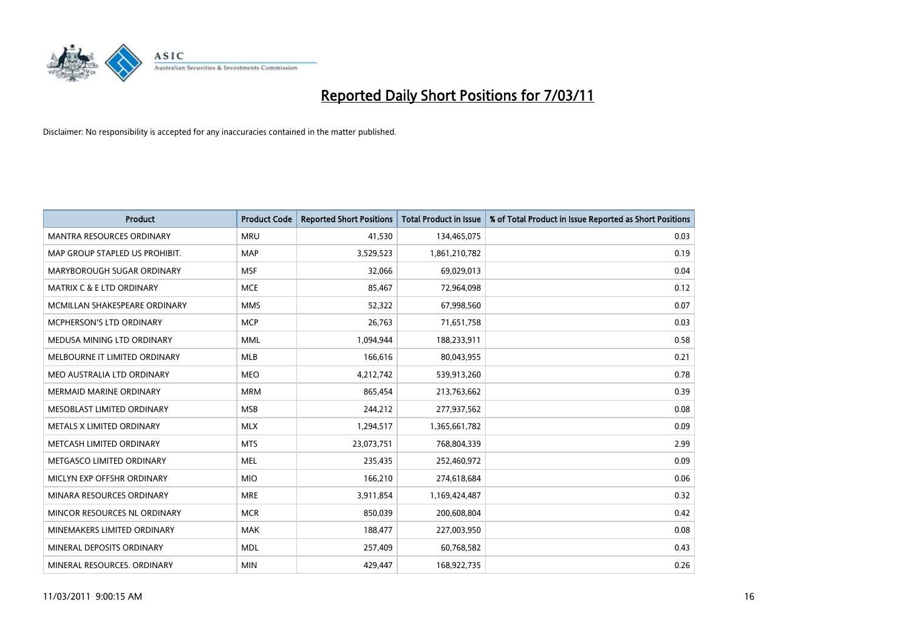

| Product                              | <b>Product Code</b> | <b>Reported Short Positions</b> | <b>Total Product in Issue</b> | % of Total Product in Issue Reported as Short Positions |
|--------------------------------------|---------------------|---------------------------------|-------------------------------|---------------------------------------------------------|
| <b>MANTRA RESOURCES ORDINARY</b>     | <b>MRU</b>          | 41,530                          | 134,465,075                   | 0.03                                                    |
| MAP GROUP STAPLED US PROHIBIT.       | <b>MAP</b>          | 3,529,523                       | 1,861,210,782                 | 0.19                                                    |
| MARYBOROUGH SUGAR ORDINARY           | <b>MSF</b>          | 32,066                          | 69,029,013                    | 0.04                                                    |
| <b>MATRIX C &amp; E LTD ORDINARY</b> | <b>MCE</b>          | 85,467                          | 72,964,098                    | 0.12                                                    |
| MCMILLAN SHAKESPEARE ORDINARY        | <b>MMS</b>          | 52,322                          | 67,998,560                    | 0.07                                                    |
| MCPHERSON'S LTD ORDINARY             | <b>MCP</b>          | 26,763                          | 71,651,758                    | 0.03                                                    |
| MEDUSA MINING LTD ORDINARY           | <b>MML</b>          | 1,094,944                       | 188,233,911                   | 0.58                                                    |
| MELBOURNE IT LIMITED ORDINARY        | <b>MLB</b>          | 166,616                         | 80,043,955                    | 0.21                                                    |
| MEO AUSTRALIA LTD ORDINARY           | <b>MEO</b>          | 4,212,742                       | 539,913,260                   | 0.78                                                    |
| <b>MERMAID MARINE ORDINARY</b>       | <b>MRM</b>          | 865,454                         | 213,763,662                   | 0.39                                                    |
| MESOBLAST LIMITED ORDINARY           | <b>MSB</b>          | 244,212                         | 277,937,562                   | 0.08                                                    |
| METALS X LIMITED ORDINARY            | <b>MLX</b>          | 1,294,517                       | 1,365,661,782                 | 0.09                                                    |
| METCASH LIMITED ORDINARY             | <b>MTS</b>          | 23,073,751                      | 768,804,339                   | 2.99                                                    |
| METGASCO LIMITED ORDINARY            | <b>MEL</b>          | 235,435                         | 252,460,972                   | 0.09                                                    |
| MICLYN EXP OFFSHR ORDINARY           | <b>MIO</b>          | 166,210                         | 274,618,684                   | 0.06                                                    |
| MINARA RESOURCES ORDINARY            | <b>MRE</b>          | 3,911,854                       | 1,169,424,487                 | 0.32                                                    |
| MINCOR RESOURCES NL ORDINARY         | <b>MCR</b>          | 850,039                         | 200,608,804                   | 0.42                                                    |
| MINEMAKERS LIMITED ORDINARY          | <b>MAK</b>          | 188,477                         | 227,003,950                   | 0.08                                                    |
| MINERAL DEPOSITS ORDINARY            | <b>MDL</b>          | 257,409                         | 60,768,582                    | 0.43                                                    |
| MINERAL RESOURCES, ORDINARY          | <b>MIN</b>          | 429,447                         | 168,922,735                   | 0.26                                                    |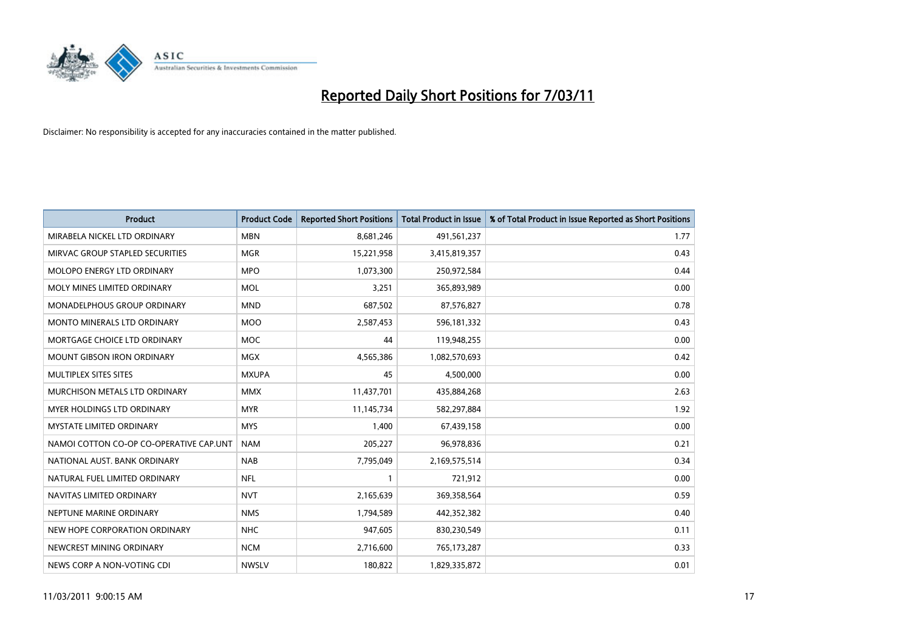

| <b>Product</b>                          | <b>Product Code</b> | <b>Reported Short Positions</b> | Total Product in Issue | % of Total Product in Issue Reported as Short Positions |
|-----------------------------------------|---------------------|---------------------------------|------------------------|---------------------------------------------------------|
| MIRABELA NICKEL LTD ORDINARY            | <b>MBN</b>          | 8,681,246                       | 491,561,237            | 1.77                                                    |
| MIRVAC GROUP STAPLED SECURITIES         | <b>MGR</b>          | 15,221,958                      | 3,415,819,357          | 0.43                                                    |
| MOLOPO ENERGY LTD ORDINARY              | <b>MPO</b>          | 1,073,300                       | 250,972,584            | 0.44                                                    |
| MOLY MINES LIMITED ORDINARY             | <b>MOL</b>          | 3,251                           | 365,893,989            | 0.00                                                    |
| MONADELPHOUS GROUP ORDINARY             | <b>MND</b>          | 687,502                         | 87,576,827             | 0.78                                                    |
| <b>MONTO MINERALS LTD ORDINARY</b>      | <b>MOO</b>          | 2,587,453                       | 596,181,332            | 0.43                                                    |
| MORTGAGE CHOICE LTD ORDINARY            | <b>MOC</b>          | 44                              | 119,948,255            | 0.00                                                    |
| <b>MOUNT GIBSON IRON ORDINARY</b>       | <b>MGX</b>          | 4,565,386                       | 1,082,570,693          | 0.42                                                    |
| MULTIPLEX SITES SITES                   | <b>MXUPA</b>        | 45                              | 4,500,000              | 0.00                                                    |
| MURCHISON METALS LTD ORDINARY           | <b>MMX</b>          | 11,437,701                      | 435,884,268            | 2.63                                                    |
| MYER HOLDINGS LTD ORDINARY              | <b>MYR</b>          | 11,145,734                      | 582,297,884            | 1.92                                                    |
| <b>MYSTATE LIMITED ORDINARY</b>         | <b>MYS</b>          | 1,400                           | 67,439,158             | 0.00                                                    |
| NAMOI COTTON CO-OP CO-OPERATIVE CAP.UNT | <b>NAM</b>          | 205,227                         | 96,978,836             | 0.21                                                    |
| NATIONAL AUST, BANK ORDINARY            | <b>NAB</b>          | 7,795,049                       | 2,169,575,514          | 0.34                                                    |
| NATURAL FUEL LIMITED ORDINARY           | <b>NFL</b>          |                                 | 721,912                | 0.00                                                    |
| NAVITAS LIMITED ORDINARY                | <b>NVT</b>          | 2,165,639                       | 369,358,564            | 0.59                                                    |
| NEPTUNE MARINE ORDINARY                 | <b>NMS</b>          | 1,794,589                       | 442,352,382            | 0.40                                                    |
| NEW HOPE CORPORATION ORDINARY           | <b>NHC</b>          | 947,605                         | 830,230,549            | 0.11                                                    |
| NEWCREST MINING ORDINARY                | <b>NCM</b>          | 2,716,600                       | 765,173,287            | 0.33                                                    |
| NEWS CORP A NON-VOTING CDI              | <b>NWSLV</b>        | 180,822                         | 1,829,335,872          | 0.01                                                    |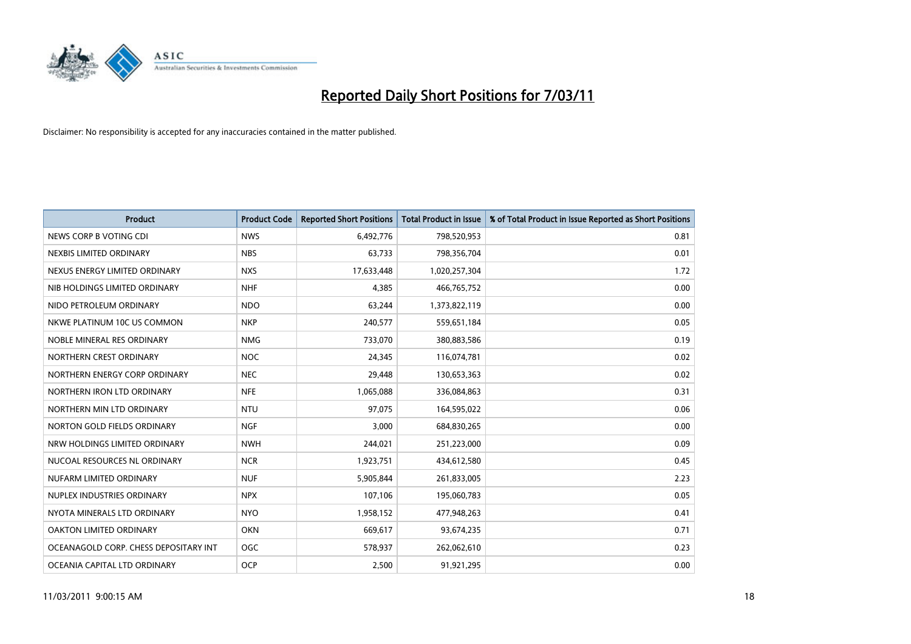

| <b>Product</b>                        | <b>Product Code</b> | <b>Reported Short Positions</b> | <b>Total Product in Issue</b> | % of Total Product in Issue Reported as Short Positions |
|---------------------------------------|---------------------|---------------------------------|-------------------------------|---------------------------------------------------------|
| NEWS CORP B VOTING CDI                | <b>NWS</b>          | 6,492,776                       | 798,520,953                   | 0.81                                                    |
| NEXBIS LIMITED ORDINARY               | <b>NBS</b>          | 63,733                          | 798,356,704                   | 0.01                                                    |
| NEXUS ENERGY LIMITED ORDINARY         | <b>NXS</b>          | 17,633,448                      | 1,020,257,304                 | 1.72                                                    |
| NIB HOLDINGS LIMITED ORDINARY         | <b>NHF</b>          | 4,385                           | 466,765,752                   | 0.00                                                    |
| NIDO PETROLEUM ORDINARY               | <b>NDO</b>          | 63,244                          | 1,373,822,119                 | 0.00                                                    |
| NKWE PLATINUM 10C US COMMON           | <b>NKP</b>          | 240,577                         | 559,651,184                   | 0.05                                                    |
| NOBLE MINERAL RES ORDINARY            | <b>NMG</b>          | 733,070                         | 380,883,586                   | 0.19                                                    |
| NORTHERN CREST ORDINARY               | <b>NOC</b>          | 24,345                          | 116,074,781                   | 0.02                                                    |
| NORTHERN ENERGY CORP ORDINARY         | <b>NEC</b>          | 29,448                          | 130,653,363                   | 0.02                                                    |
| NORTHERN IRON LTD ORDINARY            | <b>NFE</b>          | 1,065,088                       | 336,084,863                   | 0.31                                                    |
| NORTHERN MIN LTD ORDINARY             | <b>NTU</b>          | 97,075                          | 164,595,022                   | 0.06                                                    |
| NORTON GOLD FIELDS ORDINARY           | <b>NGF</b>          | 3,000                           | 684,830,265                   | 0.00                                                    |
| NRW HOLDINGS LIMITED ORDINARY         | <b>NWH</b>          | 244.021                         | 251,223,000                   | 0.09                                                    |
| NUCOAL RESOURCES NL ORDINARY          | <b>NCR</b>          | 1,923,751                       | 434,612,580                   | 0.45                                                    |
| NUFARM LIMITED ORDINARY               | <b>NUF</b>          | 5,905,844                       | 261,833,005                   | 2.23                                                    |
| NUPLEX INDUSTRIES ORDINARY            | <b>NPX</b>          | 107,106                         | 195,060,783                   | 0.05                                                    |
| NYOTA MINERALS LTD ORDINARY           | <b>NYO</b>          | 1,958,152                       | 477,948,263                   | 0.41                                                    |
| OAKTON LIMITED ORDINARY               | <b>OKN</b>          | 669,617                         | 93,674,235                    | 0.71                                                    |
| OCEANAGOLD CORP. CHESS DEPOSITARY INT | <b>OGC</b>          | 578,937                         | 262,062,610                   | 0.23                                                    |
| OCEANIA CAPITAL LTD ORDINARY          | <b>OCP</b>          | 2,500                           | 91,921,295                    | 0.00                                                    |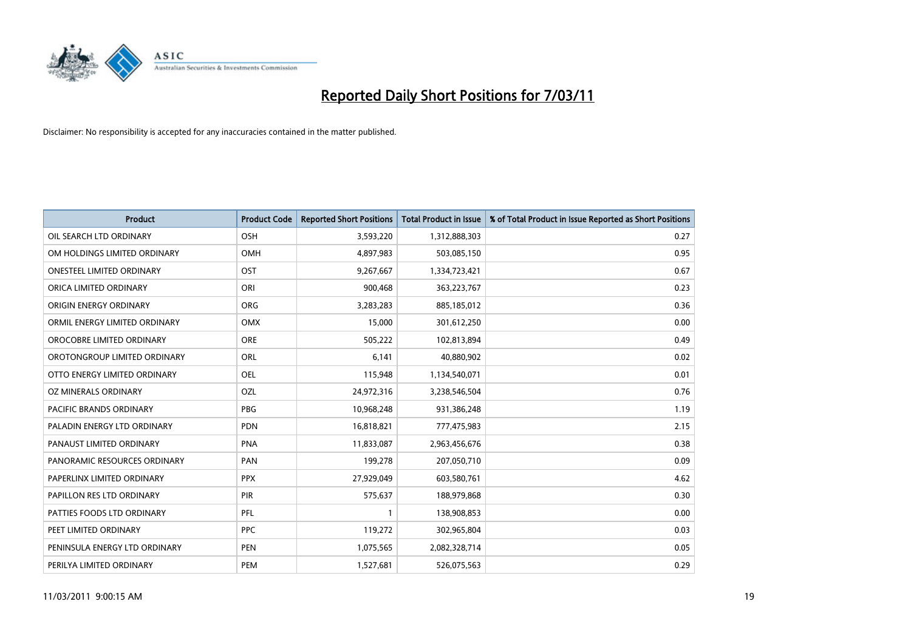

| <b>Product</b>                   | <b>Product Code</b> | <b>Reported Short Positions</b> | Total Product in Issue | % of Total Product in Issue Reported as Short Positions |
|----------------------------------|---------------------|---------------------------------|------------------------|---------------------------------------------------------|
| OIL SEARCH LTD ORDINARY          | <b>OSH</b>          | 3,593,220                       | 1,312,888,303          | 0.27                                                    |
| OM HOLDINGS LIMITED ORDINARY     | OMH                 | 4,897,983                       | 503,085,150            | 0.95                                                    |
| <b>ONESTEEL LIMITED ORDINARY</b> | OST                 | 9,267,667                       | 1,334,723,421          | 0.67                                                    |
| ORICA LIMITED ORDINARY           | ORI                 | 900,468                         | 363,223,767            | 0.23                                                    |
| ORIGIN ENERGY ORDINARY           | <b>ORG</b>          | 3,283,283                       | 885,185,012            | 0.36                                                    |
| ORMIL ENERGY LIMITED ORDINARY    | <b>OMX</b>          | 15,000                          | 301,612,250            | 0.00                                                    |
| OROCOBRE LIMITED ORDINARY        | <b>ORE</b>          | 505,222                         | 102,813,894            | 0.49                                                    |
| OROTONGROUP LIMITED ORDINARY     | ORL                 | 6,141                           | 40,880,902             | 0.02                                                    |
| OTTO ENERGY LIMITED ORDINARY     | OEL                 | 115,948                         | 1,134,540,071          | 0.01                                                    |
| OZ MINERALS ORDINARY             | OZL                 | 24,972,316                      | 3,238,546,504          | 0.76                                                    |
| <b>PACIFIC BRANDS ORDINARY</b>   | <b>PBG</b>          | 10,968,248                      | 931,386,248            | 1.19                                                    |
| PALADIN ENERGY LTD ORDINARY      | <b>PDN</b>          | 16,818,821                      | 777,475,983            | 2.15                                                    |
| PANAUST LIMITED ORDINARY         | <b>PNA</b>          | 11,833,087                      | 2,963,456,676          | 0.38                                                    |
| PANORAMIC RESOURCES ORDINARY     | PAN                 | 199,278                         | 207,050,710            | 0.09                                                    |
| PAPERLINX LIMITED ORDINARY       | <b>PPX</b>          | 27,929,049                      | 603,580,761            | 4.62                                                    |
| PAPILLON RES LTD ORDINARY        | PIR                 | 575,637                         | 188,979,868            | 0.30                                                    |
| PATTIES FOODS LTD ORDINARY       | PFL                 |                                 | 138,908,853            | 0.00                                                    |
| PEET LIMITED ORDINARY            | <b>PPC</b>          | 119,272                         | 302,965,804            | 0.03                                                    |
| PENINSULA ENERGY LTD ORDINARY    | <b>PEN</b>          | 1,075,565                       | 2,082,328,714          | 0.05                                                    |
| PERILYA LIMITED ORDINARY         | PEM                 | 1,527,681                       | 526,075,563            | 0.29                                                    |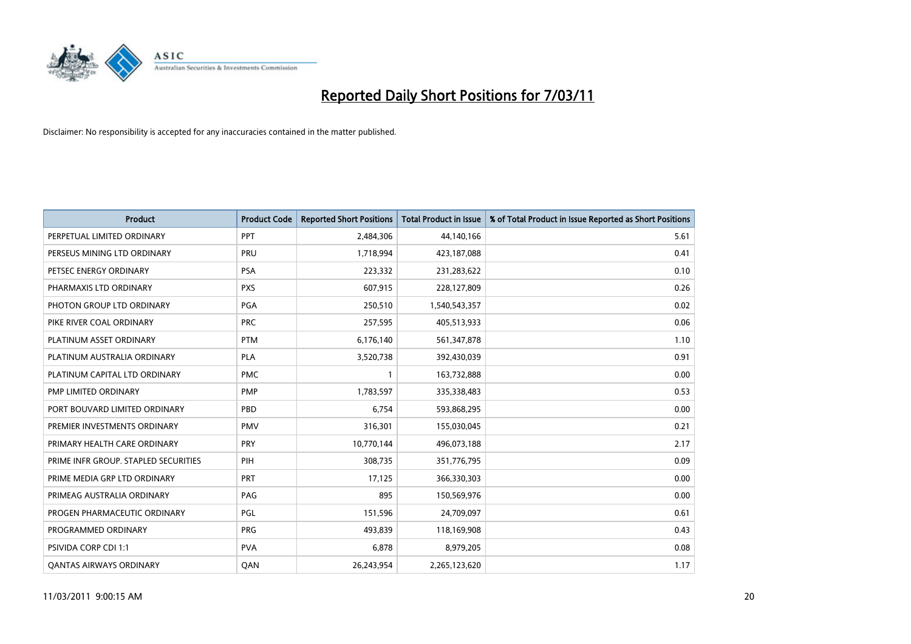

| Product                              | <b>Product Code</b> | <b>Reported Short Positions</b> | Total Product in Issue | % of Total Product in Issue Reported as Short Positions |
|--------------------------------------|---------------------|---------------------------------|------------------------|---------------------------------------------------------|
| PERPETUAL LIMITED ORDINARY           | <b>PPT</b>          | 2,484,306                       | 44,140,166             | 5.61                                                    |
| PERSEUS MINING LTD ORDINARY          | PRU                 | 1,718,994                       | 423,187,088            | 0.41                                                    |
| PETSEC ENERGY ORDINARY               | <b>PSA</b>          | 223,332                         | 231,283,622            | 0.10                                                    |
| PHARMAXIS LTD ORDINARY               | <b>PXS</b>          | 607,915                         | 228,127,809            | 0.26                                                    |
| PHOTON GROUP LTD ORDINARY            | <b>PGA</b>          | 250,510                         | 1,540,543,357          | 0.02                                                    |
| PIKE RIVER COAL ORDINARY             | <b>PRC</b>          | 257,595                         | 405,513,933            | 0.06                                                    |
| PLATINUM ASSET ORDINARY              | <b>PTM</b>          | 6,176,140                       | 561,347,878            | 1.10                                                    |
| PLATINUM AUSTRALIA ORDINARY          | <b>PLA</b>          | 3,520,738                       | 392,430,039            | 0.91                                                    |
| PLATINUM CAPITAL LTD ORDINARY        | <b>PMC</b>          |                                 | 163,732,888            | 0.00                                                    |
| PMP LIMITED ORDINARY                 | <b>PMP</b>          | 1,783,597                       | 335,338,483            | 0.53                                                    |
| PORT BOUVARD LIMITED ORDINARY        | PBD                 | 6,754                           | 593,868,295            | 0.00                                                    |
| PREMIER INVESTMENTS ORDINARY         | <b>PMV</b>          | 316,301                         | 155,030,045            | 0.21                                                    |
| PRIMARY HEALTH CARE ORDINARY         | PRY                 | 10,770,144                      | 496,073,188            | 2.17                                                    |
| PRIME INFR GROUP. STAPLED SECURITIES | PIH                 | 308,735                         | 351,776,795            | 0.09                                                    |
| PRIME MEDIA GRP LTD ORDINARY         | <b>PRT</b>          | 17,125                          | 366,330,303            | 0.00                                                    |
| PRIMEAG AUSTRALIA ORDINARY           | PAG                 | 895                             | 150,569,976            | 0.00                                                    |
| PROGEN PHARMACEUTIC ORDINARY         | PGL                 | 151,596                         | 24,709,097             | 0.61                                                    |
| PROGRAMMED ORDINARY                  | <b>PRG</b>          | 493,839                         | 118,169,908            | 0.43                                                    |
| PSIVIDA CORP CDI 1:1                 | <b>PVA</b>          | 6,878                           | 8,979,205              | 0.08                                                    |
| <b>QANTAS AIRWAYS ORDINARY</b>       | QAN                 | 26,243,954                      | 2,265,123,620          | 1.17                                                    |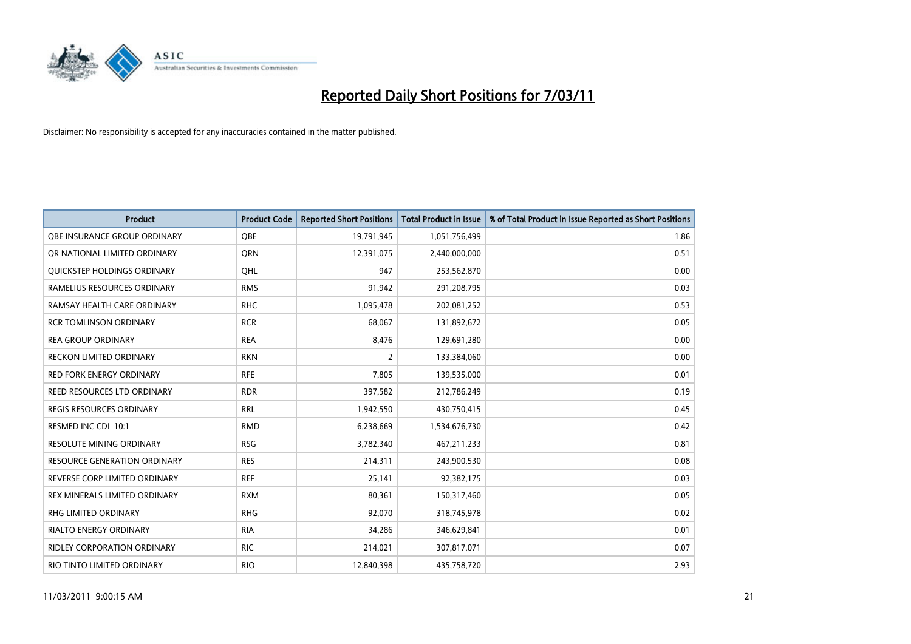

| <b>Product</b>                      | <b>Product Code</b> | <b>Reported Short Positions</b> | <b>Total Product in Issue</b> | % of Total Product in Issue Reported as Short Positions |
|-------------------------------------|---------------------|---------------------------------|-------------------------------|---------------------------------------------------------|
| OBE INSURANCE GROUP ORDINARY        | <b>OBE</b>          | 19,791,945                      | 1,051,756,499                 | 1.86                                                    |
| OR NATIONAL LIMITED ORDINARY        | <b>ORN</b>          | 12,391,075                      | 2,440,000,000                 | 0.51                                                    |
| <b>OUICKSTEP HOLDINGS ORDINARY</b>  | OHL                 | 947                             | 253,562,870                   | 0.00                                                    |
| RAMELIUS RESOURCES ORDINARY         | <b>RMS</b>          | 91,942                          | 291,208,795                   | 0.03                                                    |
| RAMSAY HEALTH CARE ORDINARY         | <b>RHC</b>          | 1,095,478                       | 202,081,252                   | 0.53                                                    |
| <b>RCR TOMLINSON ORDINARY</b>       | <b>RCR</b>          | 68.067                          | 131,892,672                   | 0.05                                                    |
| <b>REA GROUP ORDINARY</b>           | <b>REA</b>          | 8,476                           | 129,691,280                   | 0.00                                                    |
| RECKON LIMITED ORDINARY             | <b>RKN</b>          | 2                               | 133,384,060                   | 0.00                                                    |
| RED FORK ENERGY ORDINARY            | <b>RFE</b>          | 7,805                           | 139,535,000                   | 0.01                                                    |
| REED RESOURCES LTD ORDINARY         | <b>RDR</b>          | 397,582                         | 212,786,249                   | 0.19                                                    |
| <b>REGIS RESOURCES ORDINARY</b>     | <b>RRL</b>          | 1,942,550                       | 430,750,415                   | 0.45                                                    |
| RESMED INC CDI 10:1                 | <b>RMD</b>          | 6,238,669                       | 1,534,676,730                 | 0.42                                                    |
| <b>RESOLUTE MINING ORDINARY</b>     | <b>RSG</b>          | 3,782,340                       | 467,211,233                   | 0.81                                                    |
| <b>RESOURCE GENERATION ORDINARY</b> | <b>RES</b>          | 214,311                         | 243,900,530                   | 0.08                                                    |
| REVERSE CORP LIMITED ORDINARY       | <b>REF</b>          | 25,141                          | 92,382,175                    | 0.03                                                    |
| REX MINERALS LIMITED ORDINARY       | <b>RXM</b>          | 80,361                          | 150,317,460                   | 0.05                                                    |
| <b>RHG LIMITED ORDINARY</b>         | <b>RHG</b>          | 92,070                          | 318,745,978                   | 0.02                                                    |
| RIALTO ENERGY ORDINARY              | <b>RIA</b>          | 34,286                          | 346,629,841                   | 0.01                                                    |
| RIDLEY CORPORATION ORDINARY         | <b>RIC</b>          | 214,021                         | 307,817,071                   | 0.07                                                    |
| RIO TINTO LIMITED ORDINARY          | <b>RIO</b>          | 12,840,398                      | 435,758,720                   | 2.93                                                    |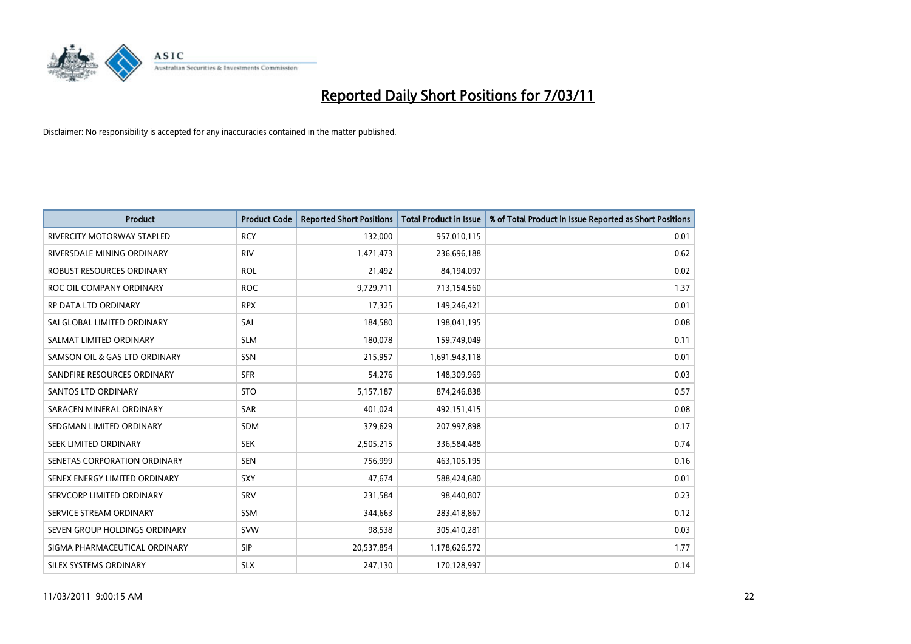

| <b>Product</b>                    | <b>Product Code</b> | <b>Reported Short Positions</b> | <b>Total Product in Issue</b> | % of Total Product in Issue Reported as Short Positions |
|-----------------------------------|---------------------|---------------------------------|-------------------------------|---------------------------------------------------------|
| <b>RIVERCITY MOTORWAY STAPLED</b> | <b>RCY</b>          | 132,000                         | 957,010,115                   | 0.01                                                    |
| RIVERSDALE MINING ORDINARY        | <b>RIV</b>          | 1,471,473                       | 236,696,188                   | 0.62                                                    |
| ROBUST RESOURCES ORDINARY         | <b>ROL</b>          | 21,492                          | 84,194,097                    | 0.02                                                    |
| ROC OIL COMPANY ORDINARY          | <b>ROC</b>          | 9,729,711                       | 713,154,560                   | 1.37                                                    |
| RP DATA LTD ORDINARY              | <b>RPX</b>          | 17,325                          | 149,246,421                   | 0.01                                                    |
| SAI GLOBAL LIMITED ORDINARY       | SAI                 | 184,580                         | 198,041,195                   | 0.08                                                    |
| SALMAT LIMITED ORDINARY           | <b>SLM</b>          | 180,078                         | 159,749,049                   | 0.11                                                    |
| SAMSON OIL & GAS LTD ORDINARY     | <b>SSN</b>          | 215,957                         | 1,691,943,118                 | 0.01                                                    |
| SANDFIRE RESOURCES ORDINARY       | <b>SFR</b>          | 54,276                          | 148,309,969                   | 0.03                                                    |
| <b>SANTOS LTD ORDINARY</b>        | <b>STO</b>          | 5,157,187                       | 874,246,838                   | 0.57                                                    |
| SARACEN MINERAL ORDINARY          | <b>SAR</b>          | 401,024                         | 492,151,415                   | 0.08                                                    |
| SEDGMAN LIMITED ORDINARY          | <b>SDM</b>          | 379,629                         | 207,997,898                   | 0.17                                                    |
| SEEK LIMITED ORDINARY             | <b>SEK</b>          | 2,505,215                       | 336,584,488                   | 0.74                                                    |
| SENETAS CORPORATION ORDINARY      | <b>SEN</b>          | 756,999                         | 463,105,195                   | 0.16                                                    |
| SENEX ENERGY LIMITED ORDINARY     | SXY                 | 47,674                          | 588,424,680                   | 0.01                                                    |
| SERVCORP LIMITED ORDINARY         | SRV                 | 231,584                         | 98,440,807                    | 0.23                                                    |
| SERVICE STREAM ORDINARY           | <b>SSM</b>          | 344,663                         | 283,418,867                   | 0.12                                                    |
| SEVEN GROUP HOLDINGS ORDINARY     | <b>SVW</b>          | 98,538                          | 305,410,281                   | 0.03                                                    |
| SIGMA PHARMACEUTICAL ORDINARY     | <b>SIP</b>          | 20,537,854                      | 1,178,626,572                 | 1.77                                                    |
| SILEX SYSTEMS ORDINARY            | <b>SLX</b>          | 247,130                         | 170,128,997                   | 0.14                                                    |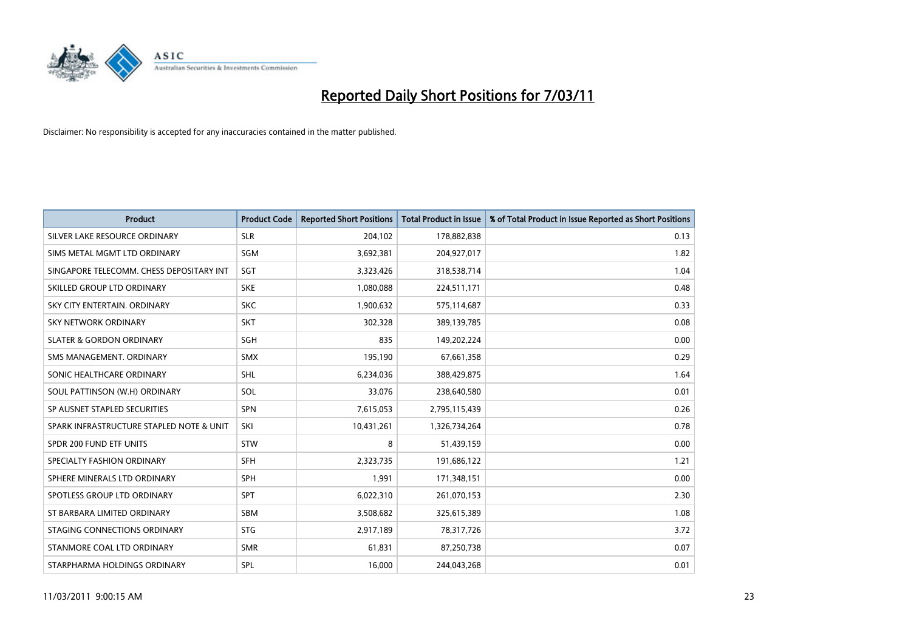

| <b>Product</b>                           | <b>Product Code</b> | <b>Reported Short Positions</b> | Total Product in Issue | % of Total Product in Issue Reported as Short Positions |
|------------------------------------------|---------------------|---------------------------------|------------------------|---------------------------------------------------------|
| SILVER LAKE RESOURCE ORDINARY            | <b>SLR</b>          | 204,102                         | 178,882,838            | 0.13                                                    |
| SIMS METAL MGMT LTD ORDINARY             | <b>SGM</b>          | 3,692,381                       | 204,927,017            | 1.82                                                    |
| SINGAPORE TELECOMM. CHESS DEPOSITARY INT | SGT                 | 3,323,426                       | 318,538,714            | 1.04                                                    |
| SKILLED GROUP LTD ORDINARY               | <b>SKE</b>          | 1,080,088                       | 224,511,171            | 0.48                                                    |
| SKY CITY ENTERTAIN, ORDINARY             | <b>SKC</b>          | 1,900,632                       | 575,114,687            | 0.33                                                    |
| <b>SKY NETWORK ORDINARY</b>              | <b>SKT</b>          | 302,328                         | 389,139,785            | 0.08                                                    |
| <b>SLATER &amp; GORDON ORDINARY</b>      | <b>SGH</b>          | 835                             | 149,202,224            | 0.00                                                    |
| SMS MANAGEMENT, ORDINARY                 | <b>SMX</b>          | 195,190                         | 67,661,358             | 0.29                                                    |
| SONIC HEALTHCARE ORDINARY                | <b>SHL</b>          | 6,234,036                       | 388,429,875            | 1.64                                                    |
| SOUL PATTINSON (W.H) ORDINARY            | SOL                 | 33.076                          | 238,640,580            | 0.01                                                    |
| SP AUSNET STAPLED SECURITIES             | <b>SPN</b>          | 7,615,053                       | 2,795,115,439          | 0.26                                                    |
| SPARK INFRASTRUCTURE STAPLED NOTE & UNIT | SKI                 | 10,431,261                      | 1,326,734,264          | 0.78                                                    |
| SPDR 200 FUND ETF UNITS                  | <b>STW</b>          | 8                               | 51,439,159             | 0.00                                                    |
| SPECIALTY FASHION ORDINARY               | <b>SFH</b>          | 2,323,735                       | 191,686,122            | 1.21                                                    |
| SPHERE MINERALS LTD ORDINARY             | <b>SPH</b>          | 1,991                           | 171,348,151            | 0.00                                                    |
| SPOTLESS GROUP LTD ORDINARY              | <b>SPT</b>          | 6,022,310                       | 261,070,153            | 2.30                                                    |
| ST BARBARA LIMITED ORDINARY              | <b>SBM</b>          | 3,508,682                       | 325,615,389            | 1.08                                                    |
| STAGING CONNECTIONS ORDINARY             | <b>STG</b>          | 2,917,189                       | 78,317,726             | 3.72                                                    |
| STANMORE COAL LTD ORDINARY               | <b>SMR</b>          | 61,831                          | 87,250,738             | 0.07                                                    |
| STARPHARMA HOLDINGS ORDINARY             | SPL                 | 16.000                          | 244,043,268            | 0.01                                                    |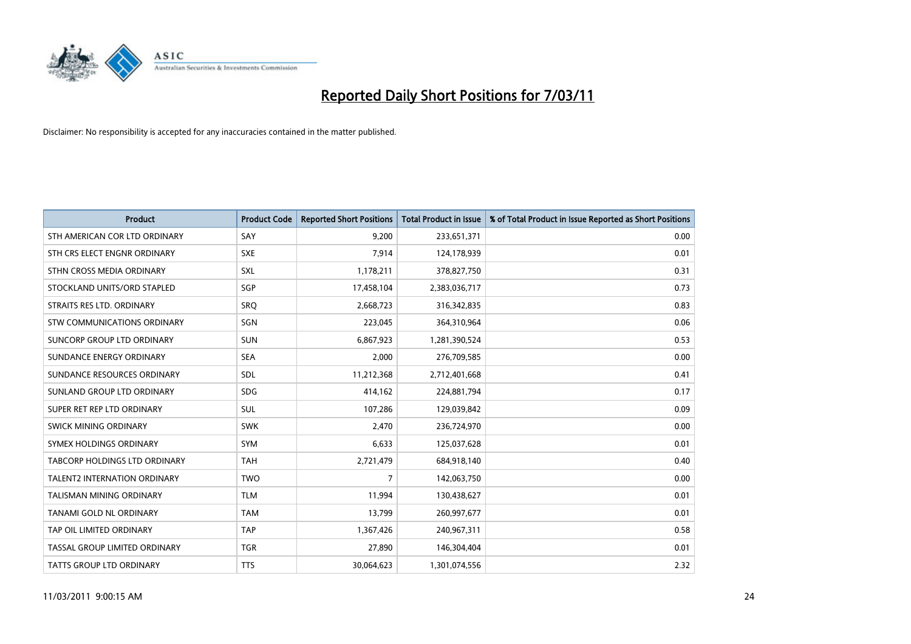

| <b>Product</b>                       | <b>Product Code</b> | <b>Reported Short Positions</b> | Total Product in Issue | % of Total Product in Issue Reported as Short Positions |
|--------------------------------------|---------------------|---------------------------------|------------------------|---------------------------------------------------------|
| STH AMERICAN COR LTD ORDINARY        | SAY                 | 9,200                           | 233,651,371            | 0.00                                                    |
| STH CRS ELECT ENGNR ORDINARY         | <b>SXE</b>          | 7,914                           | 124,178,939            | 0.01                                                    |
| STHN CROSS MEDIA ORDINARY            | SXL                 | 1,178,211                       | 378,827,750            | 0.31                                                    |
| STOCKLAND UNITS/ORD STAPLED          | SGP                 | 17,458,104                      | 2,383,036,717          | 0.73                                                    |
| STRAITS RES LTD. ORDINARY            | SRO                 | 2,668,723                       | 316, 342, 835          | 0.83                                                    |
| <b>STW COMMUNICATIONS ORDINARY</b>   | SGN                 | 223,045                         | 364,310,964            | 0.06                                                    |
| SUNCORP GROUP LTD ORDINARY           | <b>SUN</b>          | 6,867,923                       | 1,281,390,524          | 0.53                                                    |
| SUNDANCE ENERGY ORDINARY             | <b>SEA</b>          | 2,000                           | 276,709,585            | 0.00                                                    |
| SUNDANCE RESOURCES ORDINARY          | SDL                 | 11,212,368                      | 2,712,401,668          | 0.41                                                    |
| SUNLAND GROUP LTD ORDINARY           | SDG.                | 414,162                         | 224,881,794            | 0.17                                                    |
| SUPER RET REP LTD ORDINARY           | <b>SUL</b>          | 107,286                         | 129,039,842            | 0.09                                                    |
| SWICK MINING ORDINARY                | <b>SWK</b>          | 2,470                           | 236,724,970            | 0.00                                                    |
| SYMEX HOLDINGS ORDINARY              | <b>SYM</b>          | 6,633                           | 125,037,628            | 0.01                                                    |
| <b>TABCORP HOLDINGS LTD ORDINARY</b> | <b>TAH</b>          | 2,721,479                       | 684,918,140            | 0.40                                                    |
| <b>TALENT2 INTERNATION ORDINARY</b>  | <b>TWO</b>          | $\overline{7}$                  | 142,063,750            | 0.00                                                    |
| <b>TALISMAN MINING ORDINARY</b>      | <b>TLM</b>          | 11,994                          | 130,438,627            | 0.01                                                    |
| TANAMI GOLD NL ORDINARY              | <b>TAM</b>          | 13,799                          | 260,997,677            | 0.01                                                    |
| TAP OIL LIMITED ORDINARY             | <b>TAP</b>          | 1,367,426                       | 240,967,311            | 0.58                                                    |
| TASSAL GROUP LIMITED ORDINARY        | <b>TGR</b>          | 27,890                          | 146,304,404            | 0.01                                                    |
| TATTS GROUP LTD ORDINARY             | <b>TTS</b>          | 30,064,623                      | 1,301,074,556          | 2.32                                                    |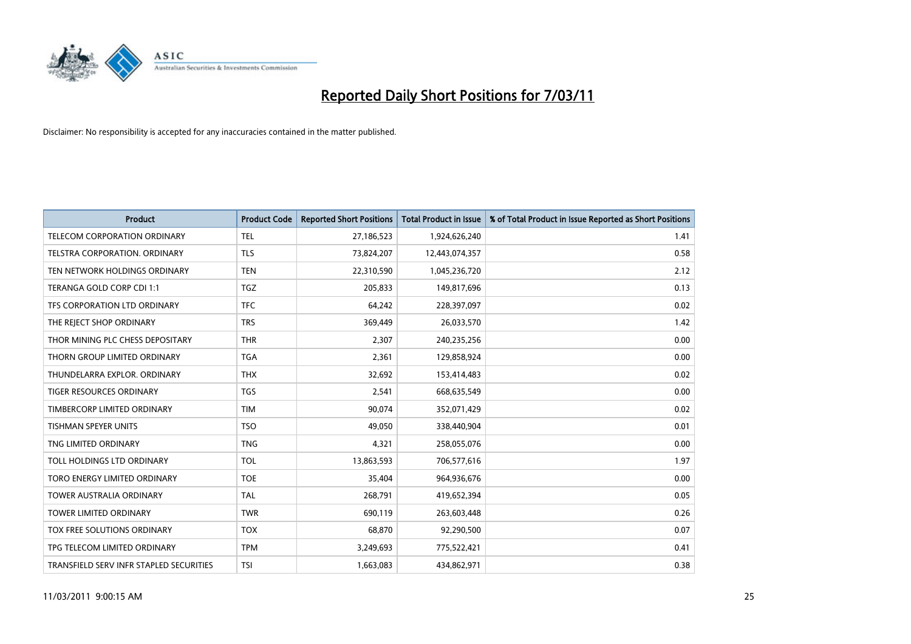

| <b>Product</b>                          | <b>Product Code</b> | <b>Reported Short Positions</b> | <b>Total Product in Issue</b> | % of Total Product in Issue Reported as Short Positions |
|-----------------------------------------|---------------------|---------------------------------|-------------------------------|---------------------------------------------------------|
| TELECOM CORPORATION ORDINARY            | <b>TEL</b>          | 27,186,523                      | 1,924,626,240                 | 1.41                                                    |
| TELSTRA CORPORATION. ORDINARY           | <b>TLS</b>          | 73,824,207                      | 12,443,074,357                | 0.58                                                    |
| TEN NETWORK HOLDINGS ORDINARY           | <b>TEN</b>          | 22,310,590                      | 1,045,236,720                 | 2.12                                                    |
| TERANGA GOLD CORP CDI 1:1               | <b>TGZ</b>          | 205,833                         | 149,817,696                   | 0.13                                                    |
| TFS CORPORATION LTD ORDINARY            | <b>TFC</b>          | 64,242                          | 228,397,097                   | 0.02                                                    |
| THE REJECT SHOP ORDINARY                | <b>TRS</b>          | 369,449                         | 26,033,570                    | 1.42                                                    |
| THOR MINING PLC CHESS DEPOSITARY        | <b>THR</b>          | 2,307                           | 240,235,256                   | 0.00                                                    |
| THORN GROUP LIMITED ORDINARY            | <b>TGA</b>          | 2,361                           | 129,858,924                   | 0.00                                                    |
| THUNDELARRA EXPLOR. ORDINARY            | <b>THX</b>          | 32,692                          | 153,414,483                   | 0.02                                                    |
| <b>TIGER RESOURCES ORDINARY</b>         | <b>TGS</b>          | 2,541                           | 668,635,549                   | 0.00                                                    |
| TIMBERCORP LIMITED ORDINARY             | <b>TIM</b>          | 90,074                          | 352,071,429                   | 0.02                                                    |
| TISHMAN SPEYER UNITS                    | <b>TSO</b>          | 49,050                          | 338,440,904                   | 0.01                                                    |
| TNG LIMITED ORDINARY                    | <b>TNG</b>          | 4,321                           | 258,055,076                   | 0.00                                                    |
| TOLL HOLDINGS LTD ORDINARY              | <b>TOL</b>          | 13,863,593                      | 706,577,616                   | 1.97                                                    |
| TORO ENERGY LIMITED ORDINARY            | <b>TOE</b>          | 35,404                          | 964,936,676                   | 0.00                                                    |
| <b>TOWER AUSTRALIA ORDINARY</b>         | <b>TAL</b>          | 268,791                         | 419,652,394                   | 0.05                                                    |
| <b>TOWER LIMITED ORDINARY</b>           | <b>TWR</b>          | 690,119                         | 263,603,448                   | 0.26                                                    |
| TOX FREE SOLUTIONS ORDINARY             | <b>TOX</b>          | 68,870                          | 92,290,500                    | 0.07                                                    |
| TPG TELECOM LIMITED ORDINARY            | <b>TPM</b>          | 3,249,693                       | 775,522,421                   | 0.41                                                    |
| TRANSFIELD SERV INFR STAPLED SECURITIES | <b>TSI</b>          | 1,663,083                       | 434,862,971                   | 0.38                                                    |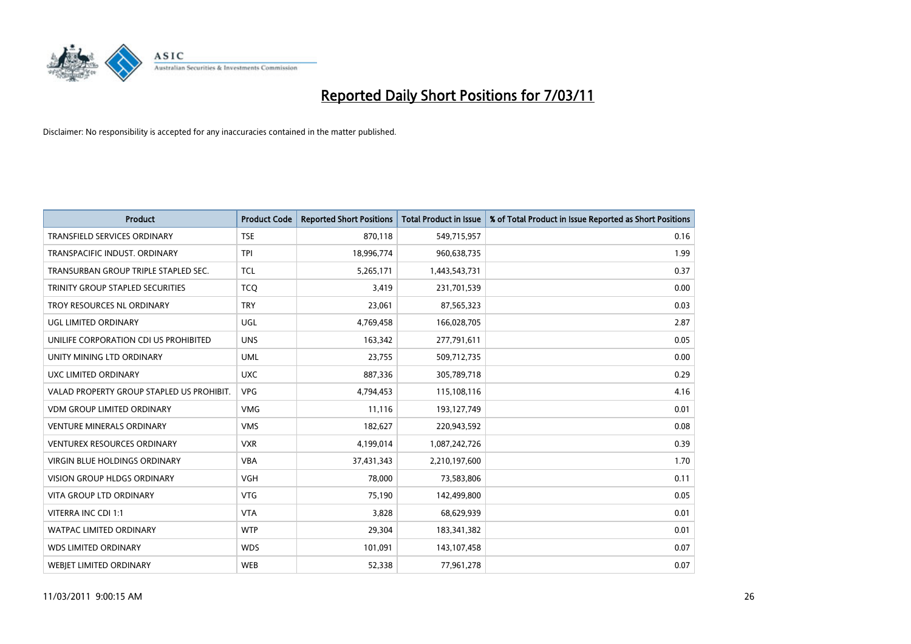

| <b>Product</b>                            | <b>Product Code</b> | <b>Reported Short Positions</b> | Total Product in Issue | % of Total Product in Issue Reported as Short Positions |
|-------------------------------------------|---------------------|---------------------------------|------------------------|---------------------------------------------------------|
| <b>TRANSFIELD SERVICES ORDINARY</b>       | <b>TSE</b>          | 870,118                         | 549,715,957            | 0.16                                                    |
| TRANSPACIFIC INDUST. ORDINARY             | <b>TPI</b>          | 18,996,774                      | 960,638,735            | 1.99                                                    |
| TRANSURBAN GROUP TRIPLE STAPLED SEC.      | <b>TCL</b>          | 5,265,171                       | 1,443,543,731          | 0.37                                                    |
| TRINITY GROUP STAPLED SECURITIES          | <b>TCO</b>          | 3,419                           | 231,701,539            | 0.00                                                    |
| TROY RESOURCES NL ORDINARY                | <b>TRY</b>          | 23,061                          | 87,565,323             | 0.03                                                    |
| <b>UGL LIMITED ORDINARY</b>               | <b>UGL</b>          | 4,769,458                       | 166,028,705            | 2.87                                                    |
| UNILIFE CORPORATION CDI US PROHIBITED     | <b>UNS</b>          | 163.342                         | 277,791,611            | 0.05                                                    |
| UNITY MINING LTD ORDINARY                 | <b>UML</b>          | 23,755                          | 509,712,735            | 0.00                                                    |
| UXC LIMITED ORDINARY                      | <b>UXC</b>          | 887,336                         | 305,789,718            | 0.29                                                    |
| VALAD PROPERTY GROUP STAPLED US PROHIBIT. | <b>VPG</b>          | 4,794,453                       | 115,108,116            | 4.16                                                    |
| VDM GROUP LIMITED ORDINARY                | <b>VMG</b>          | 11,116                          | 193,127,749            | 0.01                                                    |
| <b>VENTURE MINERALS ORDINARY</b>          | <b>VMS</b>          | 182,627                         | 220,943,592            | 0.08                                                    |
| <b>VENTUREX RESOURCES ORDINARY</b>        | <b>VXR</b>          | 4,199,014                       | 1,087,242,726          | 0.39                                                    |
| <b>VIRGIN BLUE HOLDINGS ORDINARY</b>      | <b>VBA</b>          | 37,431,343                      | 2,210,197,600          | 1.70                                                    |
| <b>VISION GROUP HLDGS ORDINARY</b>        | <b>VGH</b>          | 78.000                          | 73,583,806             | 0.11                                                    |
| <b>VITA GROUP LTD ORDINARY</b>            | <b>VTG</b>          | 75,190                          | 142,499,800            | 0.05                                                    |
| VITERRA INC CDI 1:1                       | <b>VTA</b>          | 3,828                           | 68,629,939             | 0.01                                                    |
| <b>WATPAC LIMITED ORDINARY</b>            | <b>WTP</b>          | 29,304                          | 183,341,382            | 0.01                                                    |
| <b>WDS LIMITED ORDINARY</b>               | <b>WDS</b>          | 101,091                         | 143,107,458            | 0.07                                                    |
| <b>WEBJET LIMITED ORDINARY</b>            | <b>WEB</b>          | 52,338                          | 77,961,278             | 0.07                                                    |